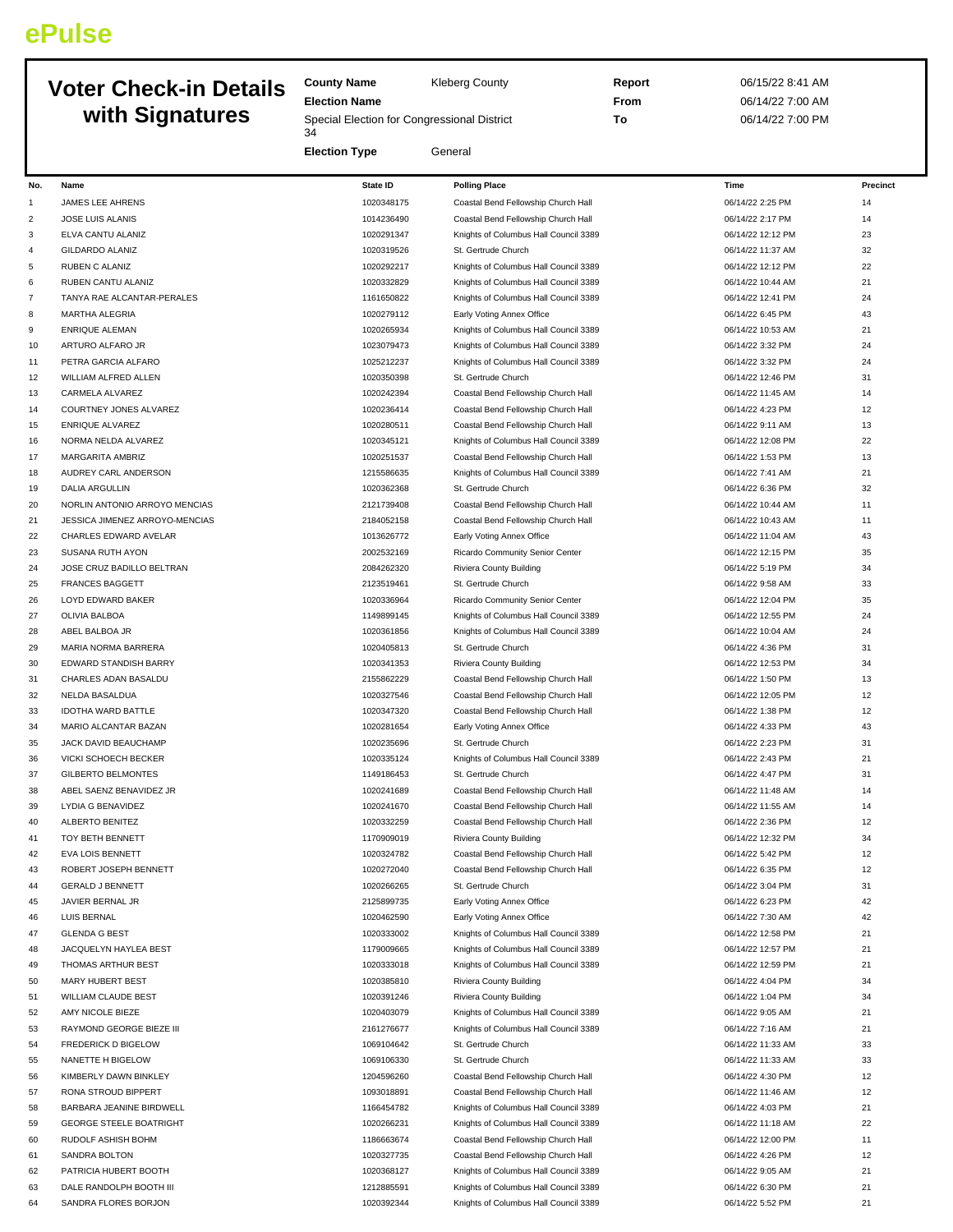# **ePulse**

# **Voter Check-in De with Signature**

|     | <b>Voter Check-in Details</b><br>with Signatures | <b>County Name</b><br><b>Election Name</b><br>Special Election for Congressional District<br>34 | <b>Kleberg County</b>                 | Report<br>From<br>To | 06/15/22 8:41 AM<br>06/14/22 7:00 AM<br>06/14/22 7:00 PM |          |
|-----|--------------------------------------------------|-------------------------------------------------------------------------------------------------|---------------------------------------|----------------------|----------------------------------------------------------|----------|
|     |                                                  | <b>Election Type</b>                                                                            | General                               |                      |                                                          |          |
| No. | Name                                             | <b>State ID</b>                                                                                 | <b>Polling Place</b>                  |                      | Time                                                     | Precinct |
|     | <b>JAMES LEE AHRENS</b>                          | 1020348175                                                                                      | Coastal Bend Fellowship Church Hall   |                      | 06/14/22 2:25 PM                                         | 14       |
| 2   | <b>JOSE LUIS ALANIS</b>                          | 1014236490                                                                                      | Coastal Bend Fellowship Church Hall   |                      | 06/14/22 2:17 PM                                         | 14       |
|     | ELVA CANTU ALANIZ                                | 1020291347                                                                                      | Knights of Columbus Hall Council 3389 |                      | 06/14/22 12:12 PM                                        | 23       |
| 4   | <b>GILDARDO ALANIZ</b>                           | 1020319526                                                                                      | St. Gertrude Church                   |                      | 06/14/22 11:37 AM                                        | 32       |
| 5   | <b>RUBEN C ALANIZ</b>                            | 1020292217                                                                                      | Knights of Columbus Hall Council 3389 |                      | 06/14/22 12:12 PM                                        | 22       |
| 6   | RUBEN CANTU ALANIZ                               | 1020332829                                                                                      | Knights of Columbus Hall Council 3389 |                      | 06/14/22 10:44 AM                                        | 21       |
|     | TANYA RAE ALCANTAR-PERALES                       | 1161650822                                                                                      | Knights of Columbus Hall Council 3389 |                      | 06/14/22 12:41 PM                                        | 24       |
| 8   | <b>MARTHA ALEGRIA</b>                            | 1020279112                                                                                      | Early Voting Annex Office             |                      | 06/14/22 6:45 PM                                         | 43       |
| q   | <b>ENRIQUE ALEMAN</b>                            | 1020265934                                                                                      | Knights of Columbus Hall Council 3389 |                      | 06/14/22 10:53 AM                                        | 21       |
| 10  | ARTURO ALFARO JR                                 | 1023079473                                                                                      | Knights of Columbus Hall Council 3389 |                      | 06/14/22 3:32 PM                                         | 24       |
|     |                                                  |                                                                                                 |                                       |                      |                                                          |          |

| 3              | ELVA CANTU ALANIZ              | 1020291347               | Knights of Columbus Hall Council 3389 | 06/14/22 12:12 PM | 23 |
|----------------|--------------------------------|--------------------------|---------------------------------------|-------------------|----|
| $\overline{4}$ | <b>GILDARDO ALANIZ</b>         | 1020319526               | St. Gertrude Church                   | 06/14/22 11:37 AM | 32 |
| 5              | RUBEN C ALANIZ                 | 1020292217               | Knights of Columbus Hall Council 3389 | 06/14/22 12:12 PM | 22 |
| 6              | RUBEN CANTU ALANIZ             | 1020332829               | Knights of Columbus Hall Council 3389 | 06/14/22 10:44 AM | 21 |
| 7              | TANYA RAE ALCANTAR-PERALES     | 1161650822               | Knights of Columbus Hall Council 3389 | 06/14/22 12:41 PM | 24 |
| 8              | MARTHA ALEGRIA                 | 1020279112               | Early Voting Annex Office             | 06/14/22 6:45 PM  | 43 |
| 9              | <b>ENRIQUE ALEMAN</b>          | 1020265934               | Knights of Columbus Hall Council 3389 | 06/14/22 10:53 AM | 21 |
| 10             | ARTURO ALFARO JR               | 1023079473               | Knights of Columbus Hall Council 3389 | 06/14/22 3:32 PM  | 24 |
| 11             | PETRA GARCIA ALFARO            | 1025212237               | Knights of Columbus Hall Council 3389 | 06/14/22 3:32 PM  | 24 |
| 12             | WILLIAM ALFRED ALLEN           | 1020350398               | St. Gertrude Church                   | 06/14/22 12:46 PM | 31 |
| 13             | CARMELA ALVAREZ                | 1020242394               | Coastal Bend Fellowship Church Hall   | 06/14/22 11:45 AM | 14 |
| 14             | COURTNEY JONES ALVAREZ         | 1020236414               | Coastal Bend Fellowship Church Hall   | 06/14/22 4:23 PM  | 12 |
| 15             | <b>ENRIQUE ALVAREZ</b>         | 1020280511               | Coastal Bend Fellowship Church Hall   | 06/14/22 9:11 AM  | 13 |
| 16             | NORMA NELDA ALVAREZ            | 1020345121               | Knights of Columbus Hall Council 3389 | 06/14/22 12:08 PM | 22 |
| 17             | MARGARITA AMBRIZ               | 1020251537               | Coastal Bend Fellowship Church Hall   | 06/14/22 1:53 PM  | 13 |
| 18             | AUDREY CARL ANDERSON           | 1215586635               | Knights of Columbus Hall Council 3389 | 06/14/22 7:41 AM  | 21 |
| 19             | <b>DALIA ARGULLIN</b>          | 1020362368               | St. Gertrude Church                   | 06/14/22 6:36 PM  | 32 |
| 20             | NORLIN ANTONIO ARROYO MENCIAS  | 2121739408               | Coastal Bend Fellowship Church Hall   | 06/14/22 10:44 AM | 11 |
| 21             | JESSICA JIMENEZ ARROYO-MENCIAS | 2184052158               | Coastal Bend Fellowship Church Hall   | 06/14/22 10:43 AM | 11 |
| 22             | CHARLES EDWARD AVELAR          | 1013626772               | Early Voting Annex Office             | 06/14/22 11:04 AM | 43 |
| 23             | SUSANA RUTH AYON               | 2002532169               | Ricardo Community Senior Center       | 06/14/22 12:15 PM | 35 |
| 24             | JOSE CRUZ BADILLO BELTRAN      | 2084262320               | Riviera County Building               | 06/14/22 5:19 PM  | 34 |
| 25             | <b>FRANCES BAGGETT</b>         | 2123519461               | St. Gertrude Church                   | 06/14/22 9:58 AM  | 33 |
| 26             | LOYD EDWARD BAKER              | 1020336964               | Ricardo Community Senior Center       | 06/14/22 12:04 PM | 35 |
| 27             | OLIVIA BALBOA                  | 1149899145               | Knights of Columbus Hall Council 3389 | 06/14/22 12:55 PM | 24 |
| 28             | ABEL BALBOA JR                 | 1020361856               | Knights of Columbus Hall Council 3389 | 06/14/22 10:04 AM | 24 |
| 29             | MARIA NORMA BARRERA            | 1020405813               | St. Gertrude Church                   | 06/14/22 4:36 PM  | 31 |
| 30             | EDWARD STANDISH BARRY          | 1020341353               | Riviera County Building               | 06/14/22 12:53 PM | 34 |
| 31             | CHARLES ADAN BASALDU           | 2155862229               | Coastal Bend Fellowship Church Hall   | 06/14/22 1:50 PM  | 13 |
| 32             | NELDA BASALDUA                 | 1020327546               | Coastal Bend Fellowship Church Hall   | 06/14/22 12:05 PM | 12 |
| 33             | <b>IDOTHA WARD BATTLE</b>      | 1020347320               | Coastal Bend Fellowship Church Hall   | 06/14/22 1:38 PM  | 12 |
| 34             | MARIO ALCANTAR BAZAN           | 1020281654               | Early Voting Annex Office             | 06/14/22 4:33 PM  | 43 |
| 35             | JACK DAVID BEAUCHAMP           | 1020235696               | St. Gertrude Church                   | 06/14/22 2:23 PM  | 31 |
| 36             | VICKI SCHOECH BECKER           | 1020335124               | Knights of Columbus Hall Council 3389 | 06/14/22 2:43 PM  | 21 |
| 37             | <b>GILBERTO BELMONTES</b>      | 1149186453               | St. Gertrude Church                   | 06/14/22 4:47 PM  | 31 |
| 38             | ABEL SAENZ BENAVIDEZ JR        | 1020241689               | Coastal Bend Fellowship Church Hall   | 06/14/22 11:48 AM | 14 |
| 39             | LYDIA G BENAVIDEZ              | 1020241670               | Coastal Bend Fellowship Church Hall   | 06/14/22 11:55 AM | 14 |
| 40             | ALBERTO BENITEZ                | 1020332259               | Coastal Bend Fellowship Church Hall   | 06/14/22 2:36 PM  | 12 |
| 41             | TOY BETH BENNETT               | 1170909019               | Riviera County Building               | 06/14/22 12:32 PM | 34 |
| 42             | <b>EVA LOIS BENNETT</b>        | 1020324782               | Coastal Bend Fellowship Church Hall   | 06/14/22 5:42 PM  | 12 |
| 43             | ROBERT JOSEPH BENNETT          | 1020272040               | Coastal Bend Fellowship Church Hall   | 06/14/22 6:35 PM  | 12 |
| 44             | <b>GERALD J BENNETT</b>        | 1020266265               | St. Gertrude Church                   | 06/14/22 3:04 PM  | 31 |
| 45             | JAVIER BERNAL JR               | 2125899735               | Early Voting Annex Office             | 06/14/22 6:23 PM  | 42 |
| 46             | <b>LUIS BERNAL</b>             | 1020462590               | Early Voting Annex Office             | 06/14/22 7:30 AM  | 42 |
| 47             | <b>GLENDA G BEST</b>           | 1020333002               | Knights of Columbus Hall Council 3389 | 06/14/22 12:58 PM | 21 |
| 48             | JACQUELYN HAYLEA BEST          | 1179009665               | Knights of Columbus Hall Council 3389 | 06/14/22 12:57 PM | 21 |
| 49             | THOMAS ARTHUR BEST             | 1020333018               | Knights of Columbus Hall Council 3389 | 06/14/22 12:59 PM | 21 |
| 50             | MARY HUBERT BEST               | 1020385810               | Riviera County Building               | 06/14/22 4:04 PM  | 34 |
| 51             | WILLIAM CLAUDE BEST            | 1020391246               | Riviera County Building               | 06/14/22 1:04 PM  | 34 |
| 52             | AMY NICOLE BIEZE               | 1020403079               | Knights of Columbus Hall Council 3389 | 06/14/22 9:05 AM  | 21 |
| 53             | RAYMOND GEORGE BIEZE III       | 2161276677               | Knights of Columbus Hall Council 3389 | 06/14/22 7:16 AM  | 21 |
| 54             | FREDERICK D BIGELOW            | 1069104642               | St. Gertrude Church                   | 06/14/22 11:33 AM | 33 |
| 55             | NANETTE H BIGELOW              | 1069106330               | St. Gertrude Church                   | 06/14/22 11:33 AM | 33 |
|                | KIMBERLY DAWN BINKLEY          |                          | Coastal Bend Fellowship Church Hall   | 06/14/22 4:30 PM  | 12 |
| 56<br>57       | RONA STROUD BIPPERT            | 1204596260<br>1093018891 | Coastal Bend Fellowship Church Hall   | 06/14/22 11:46 AM | 12 |
|                |                                |                          |                                       |                   | 21 |
| 58             | BARBARA JEANINE BIRDWELL       | 1166454782               | Knights of Columbus Hall Council 3389 | 06/14/22 4:03 PM  |    |
| 59             | <b>GEORGE STEELE BOATRIGHT</b> | 1020266231               | Knights of Columbus Hall Council 3389 | 06/14/22 11:18 AM | 22 |
| 60             | RUDOLF ASHISH BOHM             | 1186663674               | Coastal Bend Fellowship Church Hall   | 06/14/22 12:00 PM | 11 |
| 61             | <b>SANDRA BOLTON</b>           | 1020327735               | Coastal Bend Fellowship Church Hall   | 06/14/22 4:26 PM  | 12 |
| 62             | PATRICIA HUBERT BOOTH          | 1020368127               | Knights of Columbus Hall Council 3389 | 06/14/22 9:05 AM  | 21 |
| 63             | DALE RANDOLPH BOOTH III        | 1212885591               | Knights of Columbus Hall Council 3389 | 06/14/22 6:30 PM  | 21 |
| 64             | SANDRA FLORES BORJON           | 1020392344               | Knights of Columbus Hall Council 3389 | 06/14/22 5:52 PM  | 21 |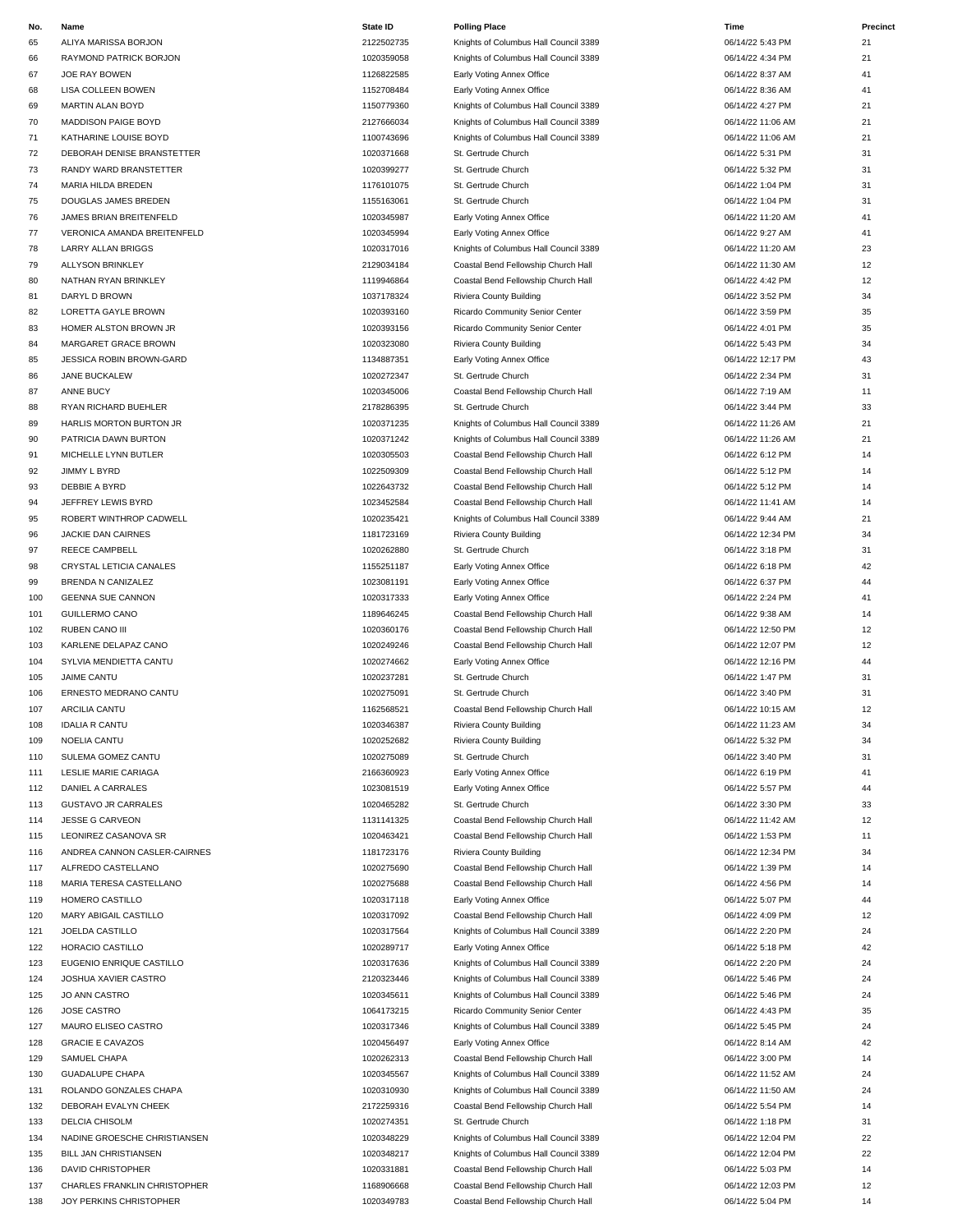| No. | Name                            | <b>State ID</b> | <b>Polling Place</b>                  | Time              | Precinct |
|-----|---------------------------------|-----------------|---------------------------------------|-------------------|----------|
| 65  | ALIYA MARISSA BORJON            | 2122502735      | Knights of Columbus Hall Council 3389 | 06/14/22 5:43 PM  | 21       |
| 66  | RAYMOND PATRICK BORJON          | 1020359058      | Knights of Columbus Hall Council 3389 | 06/14/22 4:34 PM  | 21       |
| 67  | JOE RAY BOWEN                   | 1126822585      | Early Voting Annex Office             | 06/14/22 8:37 AM  | 41       |
| 68  | LISA COLLEEN BOWEN              | 1152708484      | Early Voting Annex Office             | 06/14/22 8:36 AM  | 41       |
| 69  | MARTIN ALAN BOYD                | 1150779360      | Knights of Columbus Hall Council 3389 | 06/14/22 4:27 PM  | 21       |
| 70  | <b>MADDISON PAIGE BOYD</b>      | 2127666034      | Knights of Columbus Hall Council 3389 | 06/14/22 11:06 AM | 21       |
| 71  | KATHARINE LOUISE BOYD           | 1100743696      | Knights of Columbus Hall Council 3389 | 06/14/22 11:06 AM | 21       |
| 72  | DEBORAH DENISE BRANSTETTER      | 1020371668      | St. Gertrude Church                   | 06/14/22 5:31 PM  | 31       |
|     |                                 |                 |                                       |                   |          |
| 73  | RANDY WARD BRANSTETTER          | 1020399277      | St. Gertrude Church                   | 06/14/22 5:32 PM  | 31       |
| 74  | MARIA HILDA BREDEN              | 1176101075      | St. Gertrude Church                   | 06/14/22 1:04 PM  | 31       |
| 75  | DOUGLAS JAMES BREDEN            | 1155163061      | St. Gertrude Church                   | 06/14/22 1:04 PM  | 31       |
| 76  | JAMES BRIAN BREITENFELD         | 1020345987      | Early Voting Annex Office             | 06/14/22 11:20 AM | 41       |
| 77  | VERONICA AMANDA BREITENFELD     | 1020345994      | Early Voting Annex Office             | 06/14/22 9:27 AM  | 41       |
| 78  | LARRY ALLAN BRIGGS              | 1020317016      | Knights of Columbus Hall Council 3389 | 06/14/22 11:20 AM | 23       |
| 79  | <b>ALLYSON BRINKLEY</b>         | 2129034184      | Coastal Bend Fellowship Church Hall   | 06/14/22 11:30 AM | 12       |
| 80  | NATHAN RYAN BRINKLEY            | 1119946864      | Coastal Bend Fellowship Church Hall   | 06/14/22 4:42 PM  | 12       |
| 81  | DARYL D BROWN                   | 1037178324      | Riviera County Building               | 06/14/22 3:52 PM  | 34       |
| 82  | LORETTA GAYLE BROWN             | 1020393160      | Ricardo Community Senior Center       | 06/14/22 3:59 PM  | 35       |
| 83  | HOMER ALSTON BROWN JR           | 1020393156      | Ricardo Community Senior Center       | 06/14/22 4:01 PM  | 35       |
| 84  | MARGARET GRACE BROWN            | 1020323080      | Riviera County Building               | 06/14/22 5:43 PM  | 34       |
|     |                                 |                 |                                       | 06/14/22 12:17 PM |          |
| 85  | <b>JESSICA ROBIN BROWN-GARD</b> | 1134887351      | Early Voting Annex Office             |                   | 43       |
| 86  | JANE BUCKALEW                   | 1020272347      | St. Gertrude Church                   | 06/14/22 2:34 PM  | 31       |
| 87  | ANNE BUCY                       | 1020345006      | Coastal Bend Fellowship Church Hall   | 06/14/22 7:19 AM  | 11       |
| 88  | RYAN RICHARD BUEHLER            | 2178286395      | St. Gertrude Church                   | 06/14/22 3:44 PM  | 33       |
| 89  | HARLIS MORTON BURTON JR         | 1020371235      | Knights of Columbus Hall Council 3389 | 06/14/22 11:26 AM | 21       |
| 90  | PATRICIA DAWN BURTON            | 1020371242      | Knights of Columbus Hall Council 3389 | 06/14/22 11:26 AM | 21       |
| 91  | MICHELLE LYNN BUTLER            | 1020305503      | Coastal Bend Fellowship Church Hall   | 06/14/22 6:12 PM  | 14       |
| 92  | JIMMY L BYRD                    | 1022509309      | Coastal Bend Fellowship Church Hall   | 06/14/22 5:12 PM  | 14       |
| 93  | DEBBIE A BYRD                   | 1022643732      | Coastal Bend Fellowship Church Hall   | 06/14/22 5:12 PM  | 14       |
| 94  | JEFFREY LEWIS BYRD              | 1023452584      | Coastal Bend Fellowship Church Hall   | 06/14/22 11:41 AM | 14       |
| 95  | ROBERT WINTHROP CADWELL         | 1020235421      | Knights of Columbus Hall Council 3389 | 06/14/22 9:44 AM  | 21       |
|     |                                 |                 |                                       |                   |          |
| 96  | JACKIE DAN CAIRNES              | 1181723169      | Riviera County Building               | 06/14/22 12:34 PM | 34       |
| 97  | REECE CAMPBELL                  | 1020262880      | St. Gertrude Church                   | 06/14/22 3:18 PM  | 31       |
| 98  | CRYSTAL LETICIA CANALES         | 1155251187      | Early Voting Annex Office             | 06/14/22 6:18 PM  | 42       |
| 99  | BRENDA N CANIZALEZ              | 1023081191      | Early Voting Annex Office             | 06/14/22 6:37 PM  | 44       |
| 100 | <b>GEENNA SUE CANNON</b>        | 1020317333      | Early Voting Annex Office             | 06/14/22 2:24 PM  | 41       |
| 101 | <b>GUILLERMO CANO</b>           | 1189646245      | Coastal Bend Fellowship Church Hall   | 06/14/22 9:38 AM  | 14       |
| 102 | RUBEN CANO III                  | 1020360176      | Coastal Bend Fellowship Church Hall   | 06/14/22 12:50 PM | 12       |
| 103 | KARLENE DELAPAZ CANO            | 1020249246      | Coastal Bend Fellowship Church Hall   | 06/14/22 12:07 PM | 12       |
| 104 | SYLVIA MENDIETTA CANTU          | 1020274662      | Early Voting Annex Office             | 06/14/22 12:16 PM | 44       |
| 105 | <b>JAIME CANTU</b>              | 1020237281      | St. Gertrude Church                   | 06/14/22 1:47 PM  | 31       |
| 106 | ERNESTO MEDRANO CANTU           | 1020275091      | St. Gertrude Church                   | 06/14/22 3:40 PM  | 31       |
|     |                                 | 1162568521      |                                       |                   | 12       |
| 107 | ARCILIA CANTU                   |                 | Coastal Bend Fellowship Church Hall   | 06/14/22 10:15 AM |          |
| 108 | <b>IDALIA R CANTU</b>           | 1020346387      | Riviera County Building               | 06/14/22 11:23 AM | 34       |
| 109 | NOELIA CANTU                    | 1020252682      | Riviera County Building               | 06/14/22 5:32 PM  | 34       |
| 110 | SULEMA GOMEZ CANTU              | 1020275089      | St. Gertrude Church                   | 06/14/22 3:40 PM  | 31       |
| 111 | LESLIE MARIE CARIAGA            | 2166360923      | Early Voting Annex Office             | 06/14/22 6:19 PM  | 41       |
| 112 | DANIEL A CARRALES               | 1023081519      | Early Voting Annex Office             | 06/14/22 5:57 PM  | 44       |
| 113 | <b>GUSTAVO JR CARRALES</b>      | 1020465282      | St. Gertrude Church                   | 06/14/22 3:30 PM  | 33       |
| 114 | <b>JESSE G CARVEON</b>          | 1131141325      | Coastal Bend Fellowship Church Hall   | 06/14/22 11:42 AM | 12       |
| 115 | LEONIREZ CASANOVA SR            | 1020463421      | Coastal Bend Fellowship Church Hall   | 06/14/22 1:53 PM  | 11       |
| 116 | ANDREA CANNON CASLER-CAIRNES    | 1181723176      | Riviera County Building               | 06/14/22 12:34 PM | 34       |
| 117 | ALFREDO CASTELLANO              | 1020275690      | Coastal Bend Fellowship Church Hall   | 06/14/22 1:39 PM  | 14       |
| 118 | MARIA TERESA CASTELLANO         | 1020275688      | Coastal Bend Fellowship Church Hall   | 06/14/22 4:56 PM  | 14       |
|     |                                 |                 |                                       |                   |          |
| 119 | HOMERO CASTILLO                 | 1020317118      | Early Voting Annex Office             | 06/14/22 5:07 PM  | 44       |
| 120 | MARY ABIGAIL CASTILLO           | 1020317092      | Coastal Bend Fellowship Church Hall   | 06/14/22 4:09 PM  | 12       |
| 121 | JOELDA CASTILLO                 | 1020317564      | Knights of Columbus Hall Council 3389 | 06/14/22 2:20 PM  | 24       |
| 122 | HORACIO CASTILLO                | 1020289717      | Early Voting Annex Office             | 06/14/22 5:18 PM  | 42       |
| 123 | EUGENIO ENRIQUE CASTILLO        | 1020317636      | Knights of Columbus Hall Council 3389 | 06/14/22 2:20 PM  | 24       |
| 124 | JOSHUA XAVIER CASTRO            | 2120323446      | Knights of Columbus Hall Council 3389 | 06/14/22 5:46 PM  | 24       |
| 125 | JO ANN CASTRO                   | 1020345611      | Knights of Columbus Hall Council 3389 | 06/14/22 5:46 PM  | 24       |
| 126 | JOSE CASTRO                     | 1064173215      | Ricardo Community Senior Center       | 06/14/22 4:43 PM  | 35       |
| 127 | MAURO ELISEO CASTRO             | 1020317346      | Knights of Columbus Hall Council 3389 | 06/14/22 5:45 PM  | 24       |
| 128 | <b>GRACIE E CAVAZOS</b>         | 1020456497      | Early Voting Annex Office             | 06/14/22 8:14 AM  | 42       |
| 129 | SAMUEL CHAPA                    | 1020262313      | Coastal Bend Fellowship Church Hall   | 06/14/22 3:00 PM  | 14       |
| 130 | <b>GUADALUPE CHAPA</b>          | 1020345567      | Knights of Columbus Hall Council 3389 | 06/14/22 11:52 AM | 24       |
|     |                                 |                 |                                       |                   |          |
| 131 | ROLANDO GONZALES CHAPA          | 1020310930      | Knights of Columbus Hall Council 3389 | 06/14/22 11:50 AM | 24       |
| 132 | DEBORAH EVALYN CHEEK            | 2172259316      | Coastal Bend Fellowship Church Hall   | 06/14/22 5:54 PM  | 14       |
| 133 | DELCIA CHISOLM                  | 1020274351      | St. Gertrude Church                   | 06/14/22 1:18 PM  | 31       |
| 134 | NADINE GROESCHE CHRISTIANSEN    | 1020348229      | Knights of Columbus Hall Council 3389 | 06/14/22 12:04 PM | 22       |
| 135 | BILL JAN CHRISTIANSEN           | 1020348217      | Knights of Columbus Hall Council 3389 | 06/14/22 12:04 PM | 22       |
| 136 | DAVID CHRISTOPHER               | 1020331881      | Coastal Bend Fellowship Church Hall   | 06/14/22 5:03 PM  | 14       |
| 137 | CHARLES FRANKLIN CHRISTOPHER    | 1168906668      | Coastal Bend Fellowship Church Hall   | 06/14/22 12:03 PM | 12       |

# 65 ALIYA MARISSA BORJON 2122502735 Knights of Columbus Hall Council 3389 06/14/22 5:43 PM 21 1020359058 Knights of Columbus Hall Council 3389 06/14/22 4:34 PM 21 69 MARTIN ALAN BOYD 1150779360 Knights of Columbus Hall Council 3389 06/14/22 4:27 PM 21 76 JAMES BRIAN BREITENFELD 1020345987 Early Voting Annex Office 06/14/22 11:20 AM 41 1020345994 Early Voting Annex Office **Canada Breath 1020345994** 06/14/22 9:27 AM 41 1020317016 Knights of Columbus Hall Council 3389 06/14/22 11:20 AM 23 2129034184 Coastal Bend Fellowship Church Hall 06/14/22 11:30 AM 12 80 1119946864 Coastal Bend Fellowship Church Hall 06/14/22 4:42 PM 12 92 JIMMY L BYRD 1022509309 Coastal Bend Fellowship Church Hall 06/14/22 5:12 PM 14 93 DEBBIE A BYRD 1022643732 Coastal Bend Fellowship Church Hall 06/14/22 5:12 PM 14 94 JEFFREY LEWIS BYRD 1023452584 Coastal Bend Fellowship Church Hall 06/14/22 11:41 AM 14 1020235421 Knights of Columbus Hall Council 3389 06/14/22 9:44 AM 21 98 CRYSTAL LETICIA CANALES 1155251187 Early Voting Annex Office 06/14/22 6:18 PM 42 1023081191 Early Voting Annex Office 06/14/22 6:37 PM 44 1189646245 Coastal Bend Fellowship Church Hall **Company 1189646245** Coastal Bend Fellowship Church Hall 06/14/22 9:38 AM 103 KARLENE DELAPAZ CANO 1020249246 Coastal Bend Fellowship Church Hall 06/14/22 12:07 PM 12 1162568521 Coastal Bend Fellowship Church Hall 06/14/22 10:15 AM 12 2166360923 Early Voting Annex Office 2166360923 Early Voting Annex Office 2166360923 1131141325 Coastal Bend Fellowship Church Hall 06/14/22 11:42 AM 12 115 LEONIREZ CASANOVA SR 1020463421 Coastal Bend Fellowship Church Hall 06/14/22 1:53 PM 11 1020275690 Coastal Bend Fellowship Church Hall 06/14/22 1:39 PM 14 1020317092 Coastal Bend Fellowship Church Hall 06/14/22 4:09 PM 12 1020317564 Knights of Columbus Hall Council 3389 06/14/22 2:20 PM 24 1020289717 Early Voting Annex Office 06/14/22 5:18 PM 42 123 EUGENIO ENRIQUE CASTILLO 1020317636 Knights of Columbus Hall Council 3389 06/14/22 2:20 PM 24 124 JOSHUA XAVIER CASTRO 2120323446 Knights of Columbus Hall Council 3389 06/14/22 5:46 PM 24 1064173215 Ricardo Community Senior Center 06/14/22 4:43 PM 35 1020456497 Early Voting Annex Office 06/14/22 8:14 AM 42 129 SAMUEL CHAPA 1020262313 Coastal Bend Fellowship Church Hall 06/14/22 3:00 PM 14 130 GUADALUPE CHAPA 1020345567 Knights of Columbus Hall Council 3389 06/14/22 11:52 AM 24 1020348217 Knights of Columbus Hall Council 3389 06/14/22 12:04 PM 22 1020331881 Coastal Bend Fellowship Church Hall 06/14/22 5:03 PM 14 1168906668 Coastal Bend Fellowship Church Hall 06/14/22 12:03 PM 12 138 JOY PERKINS CHRISTOPHER 14 1020349783 Coastal Bend Fellowship Church Hall 66/14/22 5:04 PM 14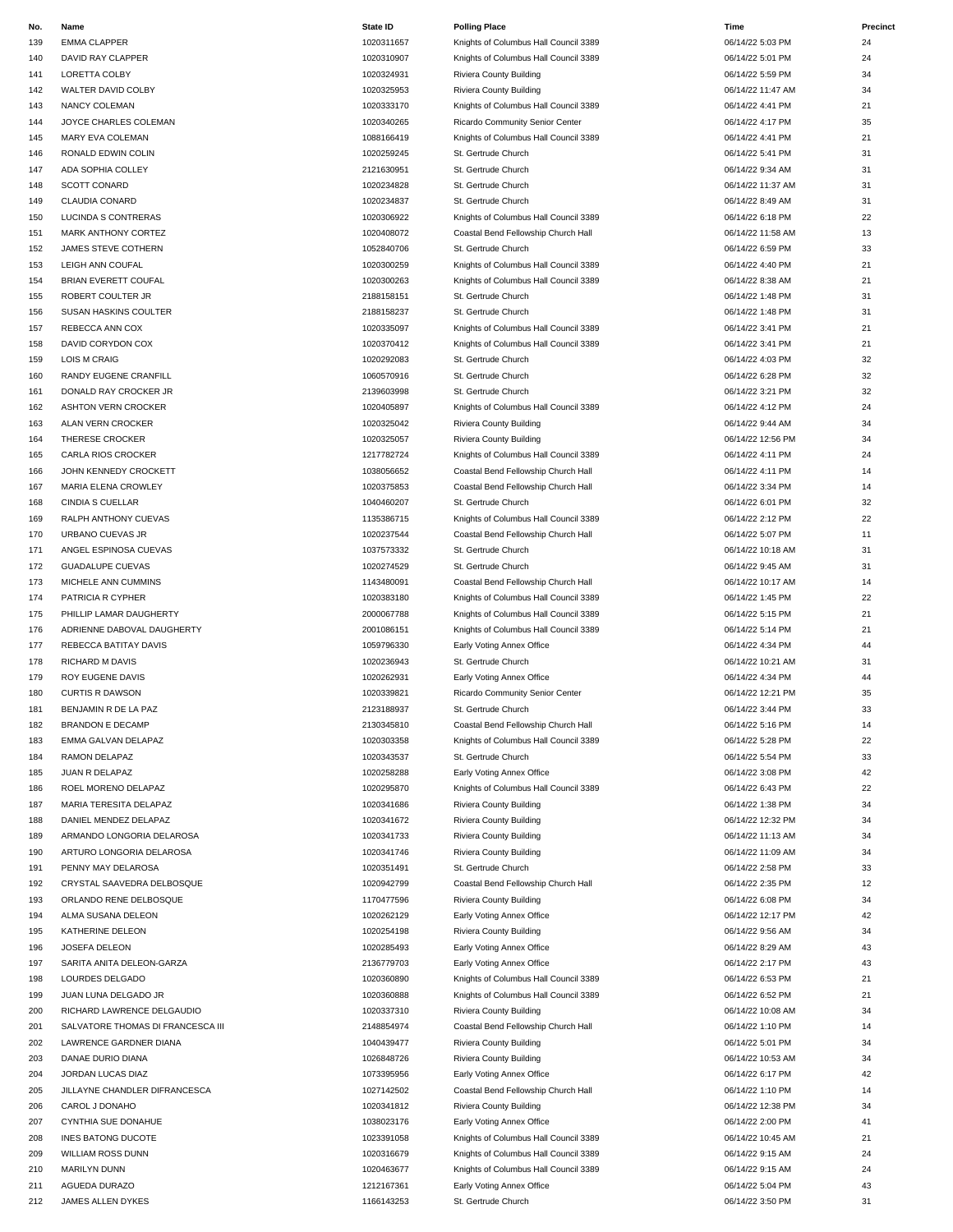| No.        | Name                                                        | <b>State ID</b>          | <b>Polling Place</b>                  | Time                                 | Precinct |
|------------|-------------------------------------------------------------|--------------------------|---------------------------------------|--------------------------------------|----------|
| 139        | <b>EMMA CLAPPER</b>                                         | 1020311657               | Knights of Columbus Hall Council 3389 | 06/14/22 5:03 PM                     | 24       |
| 140        | DAVID RAY CLAPPER                                           | 1020310907               | Knights of Columbus Hall Council 3389 | 06/14/22 5:01 PM                     | 24       |
| 141        | LORETTA COLBY                                               | 1020324931               | Riviera County Building               | 06/14/22 5:59 PM                     | 34       |
| 142        | WALTER DAVID COLBY                                          | 1020325953               | Riviera County Building               | 06/14/22 11:47 AM                    | 34       |
| 143        | <b>NANCY COLEMAN</b>                                        | 1020333170               | Knights of Columbus Hall Council 3389 | 06/14/22 4:41 PM                     | 21       |
| 144        | JOYCE CHARLES COLEMAN                                       | 1020340265               | Ricardo Community Senior Center       | 06/14/22 4:17 PM                     | 35       |
| 145        | MARY EVA COLEMAN                                            | 1088166419               | Knights of Columbus Hall Council 3389 | 06/14/22 4:41 PM                     | 21       |
| 146        | RONALD EDWIN COLIN                                          | 1020259245               | St. Gertrude Church                   | 06/14/22 5:41 PM                     | 31       |
| 147        | ADA SOPHIA COLLEY                                           | 2121630951               | St. Gertrude Church                   | 06/14/22 9:34 AM                     | 31       |
| 148        | <b>SCOTT CONARD</b>                                         | 1020234828               | St. Gertrude Church                   | 06/14/22 11:37 AM                    | 31       |
| 149        | <b>CLAUDIA CONARD</b>                                       | 1020234837               | St. Gertrude Church                   | 06/14/22 8:49 AM                     | 31       |
| 150        | LUCINDA S CONTRERAS                                         | 1020306922               | Knights of Columbus Hall Council 3389 | 06/14/22 6:18 PM                     | 22       |
| 151        | <b>MARK ANTHONY CORTEZ</b>                                  | 1020408072               | Coastal Bend Fellowship Church Hall   | 06/14/22 11:58 AM                    | 13       |
| 152        | JAMES STEVE COTHERN                                         | 1052840706               | St. Gertrude Church                   | 06/14/22 6:59 PM                     | 33       |
| 153        | LEIGH ANN COUFAL                                            | 1020300259               | Knights of Columbus Hall Council 3389 | 06/14/22 4:40 PM                     | 21       |
| 154        | BRIAN EVERETT COUFAL                                        | 1020300263               | Knights of Columbus Hall Council 3389 | 06/14/22 8:38 AM                     | 21       |
| 155        | ROBERT COULTER JR                                           | 2188158151               | St. Gertrude Church                   | 06/14/22 1:48 PM                     | 31       |
| 156        | SUSAN HASKINS COULTER                                       | 2188158237               | St. Gertrude Church                   | 06/14/22 1:48 PM                     | 31       |
| 157        | REBECCA ANN COX                                             | 1020335097               | Knights of Columbus Hall Council 3389 | 06/14/22 3:41 PM                     | 21       |
| 158        | DAVID CORYDON COX                                           | 1020370412               | Knights of Columbus Hall Council 3389 | 06/14/22 3:41 PM                     | 21       |
| 159        | <b>LOIS M CRAIG</b>                                         | 1020292083               | St. Gertrude Church                   | 06/14/22 4:03 PM                     | 32       |
| 160        | RANDY EUGENE CRANFILL                                       | 1060570916               | St. Gertrude Church                   | 06/14/22 6:28 PM                     | 32       |
| 161        | DONALD RAY CROCKER JR                                       | 2139603998               | St. Gertrude Church                   | 06/14/22 3:21 PM                     | 32       |
| 162        | <b>ASHTON VERN CROCKER</b>                                  | 1020405897               | Knights of Columbus Hall Council 3389 | 06/14/22 4:12 PM                     | 24       |
| 163        | ALAN VERN CROCKER                                           | 1020325042               | Riviera County Building               | 06/14/22 9:44 AM                     | 34       |
| 164        | THERESE CROCKER                                             | 1020325057               | Riviera County Building               | 06/14/22 12:56 PM                    | 34       |
| 165        | CARLA RIOS CROCKER                                          | 1217782724               | Knights of Columbus Hall Council 3389 | 06/14/22 4:11 PM                     | 24       |
| 166        | JOHN KENNEDY CROCKETT                                       | 1038056652               | Coastal Bend Fellowship Church Hall   | 06/14/22 4:11 PM                     | 14       |
| 167        | MARIA ELENA CROWLEY                                         | 1020375853               | Coastal Bend Fellowship Church Hall   | 06/14/22 3:34 PM                     | 14       |
| 168        | <b>CINDIA S CUELLAR</b>                                     | 1040460207               | St. Gertrude Church                   | 06/14/22 6:01 PM                     | 32       |
| 169        | RALPH ANTHONY CUEVAS                                        | 1135386715               | Knights of Columbus Hall Council 3389 | 06/14/22 2:12 PM                     | 22       |
| 170        | URBANO CUEVAS JR                                            | 1020237544               | Coastal Bend Fellowship Church Hall   | 06/14/22 5:07 PM                     | 11       |
| 171        | ANGEL ESPINOSA CUEVAS                                       | 1037573332               | St. Gertrude Church                   | 06/14/22 10:18 AM                    | 31       |
| 172        | <b>GUADALUPE CUEVAS</b>                                     | 1020274529               | St. Gertrude Church                   | 06/14/22 9:45 AM                     | 31       |
| 173        | MICHELE ANN CUMMINS                                         | 1143480091               | Coastal Bend Fellowship Church Hall   | 06/14/22 10:17 AM                    | 14       |
| 174        | PATRICIA R CYPHER                                           | 1020383180               | Knights of Columbus Hall Council 3389 | 06/14/22 1:45 PM                     | 22       |
| 175        | PHILLIP LAMAR DAUGHERTY                                     | 2000067788               | Knights of Columbus Hall Council 3389 | 06/14/22 5:15 PM                     | 21       |
| 176        | ADRIENNE DABOVAL DAUGHERTY                                  | 2001086151               | Knights of Columbus Hall Council 3389 | 06/14/22 5:14 PM                     | 21       |
| 177        | REBECCA BATITAY DAVIS                                       | 1059796330               | Early Voting Annex Office             | 06/14/22 4:34 PM                     | 44       |
| 178        | <b>RICHARD M DAVIS</b>                                      | 1020236943               | St. Gertrude Church                   | 06/14/22 10:21 AM                    | 31       |
| 179        | ROY EUGENE DAVIS                                            | 1020262931               | Early Voting Annex Office             | 06/14/22 4:34 PM                     | 44       |
| 180        | <b>CURTIS R DAWSON</b>                                      | 1020339821               | Ricardo Community Senior Center       | 06/14/22 12:21 PM                    | 35       |
| 181        | BENJAMIN R DE LA PAZ                                        | 2123188937               | St. Gertrude Church                   | 06/14/22 3:44 PM                     | 33       |
| 182        | <b>BRANDON E DECAMP</b>                                     | 2130345810               | Coastal Bend Fellowship Church Hall   | 06/14/22 5:16 PM                     | 14       |
| 183        | EMMA GALVAN DELAPAZ                                         | 1020303358               | Knights of Columbus Hall Council 3389 | 06/14/22 5:28 PM                     | 22       |
| 184        | RAMON DELAPAZ                                               | 1020343537               | St. Gertrude Church                   | 06/14/22 5:54 PM                     | 33       |
| 185        | JUAN R DELAPAZ                                              | 1020258288               | Early Voting Annex Office             | 06/14/22 3:08 PM                     | 42       |
| 186        | ROEL MORENO DELAPAZ                                         | 1020295870               | Knights of Columbus Hall Council 3389 | 06/14/22 6:43 PM                     | 22       |
| 187        | MARIA TERESITA DELAPAZ                                      | 1020341686               | Riviera County Building               | 06/14/22 1:38 PM                     | 34       |
| 188        | DANIEL MENDEZ DELAPAZ                                       | 1020341672               | Riviera County Building               | 06/14/22 12:32 PM                    | 34       |
| 189        | ARMANDO LONGORIA DELAROSA                                   | 1020341733               | Riviera County Building               | 06/14/22 11:13 AM                    | 34       |
| 190        | ARTURO LONGORIA DELAROSA                                    | 1020341746               | Riviera County Building               | 06/14/22 11:09 AM                    | 34       |
| 191        | PENNY MAY DELAROSA                                          | 1020351491               | St. Gertrude Church                   | 06/14/22 2:58 PM                     | 33       |
| 192        | CRYSTAL SAAVEDRA DELBOSQUE                                  | 1020942799               | Coastal Bend Fellowship Church Hall   | 06/14/22 2:35 PM                     | 12       |
| 193        | ORLANDO RENE DELBOSQUE                                      | 1170477596               | Riviera County Building               | 06/14/22 6:08 PM                     | 34       |
| 194        | ALMA SUSANA DELEON                                          | 1020262129               | Early Voting Annex Office             | 06/14/22 12:17 PM                    | 42       |
| 195        | KATHERINE DELEON                                            | 1020254198               | Riviera County Building               | 06/14/22 9:56 AM                     | 34       |
| 196        | JOSEFA DELEON                                               | 1020285493               | Early Voting Annex Office             | 06/14/22 8:29 AM                     | 43       |
| 197        | SARITA ANITA DELEON-GARZA                                   | 2136779703               | Early Voting Annex Office             | 06/14/22 2:17 PM                     | 43       |
| 198        | LOURDES DELGADO                                             | 1020360890               | Knights of Columbus Hall Council 3389 | 06/14/22 6:53 PM                     | 21       |
| 199        | JUAN LUNA DELGADO JR                                        | 1020360888               | Knights of Columbus Hall Council 3389 | 06/14/22 6:52 PM                     | 21       |
| 200        | RICHARD LAWRENCE DELGAUDIO                                  | 1020337310               | Riviera County Building               | 06/14/22 10:08 AM                    | 34       |
|            |                                                             |                          |                                       |                                      |          |
| 201<br>202 | SALVATORE THOMAS DI FRANCESCA III<br>LAWRENCE GARDNER DIANA | 2148854974<br>1040439477 | Coastal Bend Fellowship Church Hall   | 06/14/22 1:10 PM<br>06/14/22 5:01 PM | 14<br>34 |
|            |                                                             |                          | Riviera County Building               |                                      |          |
| 203        | DANAE DURIO DIANA                                           | 1026848726               | Riviera County Building               | 06/14/22 10:53 AM                    | 34       |
| 204        | JORDAN LUCAS DIAZ                                           | 1073395956               | Early Voting Annex Office             | 06/14/22 6:17 PM                     | 42       |
| 205        | JILLAYNE CHANDLER DIFRANCESCA                               | 1027142502               | Coastal Bend Fellowship Church Hall   | 06/14/22 1:10 PM                     | 14       |
| 206        | CAROL J DONAHO                                              | 1020341812               | Riviera County Building               | 06/14/22 12:38 PM                    | 34       |
| 207        | CYNTHIA SUE DONAHUE                                         | 1038023176               | Early Voting Annex Office             | 06/14/22 2:00 PM                     | 41       |
| 208        | INES BATONG DUCOTE                                          | 1023391058               | Knights of Columbus Hall Council 3389 | 06/14/22 10:45 AM                    | 21       |
| 209        | WILLIAM ROSS DUNN                                           | 1020316679               | Knights of Columbus Hall Council 3389 | 06/14/22 9:15 AM                     | 24       |
| 210        | <b>MARILYN DUNN</b>                                         | 1020463677               | Knights of Columbus Hall Council 3389 | 06/14/22 9:15 AM                     | 24       |

| State ID   | Polling Place   |
|------------|-----------------|
| 1020311657 | Knights of Colu |
| 1020310907 | Knights of Colu |
| 1020324931 | Riviera County  |
| 1020325953 | Riviera County  |
| 1020333170 | Knights of Colu |
| 1020340265 | Ricardo Comm    |
| 1088166419 | Knights of Colu |
| 1020259245 | St. Gertrude Cl |
| 2121630951 | St. Gertrude Cl |
| 1020234828 | St. Gertrude Cl |
| 1020234837 | St. Gertrude Cl |
| 1020306922 | Knights of Colu |
|            | Coastal Bend F  |
| 1020408072 |                 |
| 1052840706 | St. Gertrude Cl |
| 1020300259 | Knights of Colu |
| 1020300263 | Knights of Colu |
| 2188158151 | St. Gertrude Cl |
| 2188158237 | St. Gertrude Cl |
| 1020335097 | Knights of Colu |
| 1020370412 | Knights of Colu |
| 1020292083 | St. Gertrude Cl |
| 1060570916 | St. Gertrude Cl |
| 2139603998 | St. Gertrude Cl |
| 1020405897 | Knights of Colu |
| 1020325042 | Riviera County  |
| 1020325057 | Riviera County  |
| 1217782724 | Knights of Colu |
| 1038056652 | Coastal Bend F  |
| 1020375853 | Coastal Bend F  |
|            |                 |
| 1040460207 | St. Gertrude Cl |
| 1135386715 | Knights of Colu |
| 1020237544 | Coastal Bend F  |
| 1037573332 | St. Gertrude Cl |
| 1020274529 | St. Gertrude Cl |
| 1143480091 | Coastal Bend F  |
| 1020383180 | Knights of Colu |
| 2000067788 | Knights of Colu |
| 2001086151 | Knights of Colu |
| 1059796330 | Early Voting Ar |
| 1020236943 | St. Gertrude Cl |
| 1020262931 | Early Voting Ar |
| 1020339821 | Ricardo Comm    |
| 2123188937 | St. Gertrude Cl |
| 2130345810 | Coastal Bend F  |
|            |                 |
| 1020303358 | Knights of Colu |
| 1020343537 | St. Gertrude Cl |
| 1020258288 | Early Voting Ar |
| 1020295870 | Knights of Colu |
| 1020341686 | Riviera County  |
| 1020341672 | Riviera County  |
| 1020341733 | Riviera County  |
| 1020341746 | Riviera County  |
| 1020351491 | St. Gertrude Cl |
| 1020942799 | Coastal Bend F  |
| 1170477596 | Riviera County  |
| 1020262129 | Early Voting Ar |
| 1020254198 | Riviera County  |
| 1020285493 |                 |
|            | Early Voting Ar |
| 2136779703 | Early Voting Ar |
| 1020360890 | Knights of Colu |
| 1020360888 | Knights of Colu |
| 1020337310 | Riviera County  |
| 2148854974 | Coastal Bend F  |
| 1040439477 | Riviera County  |
| 1026848726 | Riviera County  |
| 1073395956 | Early Voting Ar |
| 1027142502 | Coastal Bend F  |
| 1020341812 | Riviera County  |
| 1038023176 | Early Voting Ar |
| 1023391058 | Knights of Colu |
| 1020316679 | Knights of Colu |
|            |                 |
| 1020463677 | Knights of Colu |
| 1212167361 | Early Voting Ar |

| No. | Name                              | <b>State ID</b> | <b>Polling Place</b>                  | Time              | Pre |
|-----|-----------------------------------|-----------------|---------------------------------------|-------------------|-----|
| 139 | <b>EMMA CLAPPER</b>               | 1020311657      | Knights of Columbus Hall Council 3389 | 06/14/22 5:03 PM  | 24  |
| 140 | DAVID RAY CLAPPER                 | 1020310907      | Knights of Columbus Hall Council 3389 | 06/14/22 5:01 PM  | 24  |
| 141 | LORETTA COLBY                     | 1020324931      | Riviera County Building               | 06/14/22 5:59 PM  | 34  |
| 142 | WALTER DAVID COLBY                | 1020325953      | Riviera County Building               | 06/14/22 11:47 AM | 34  |
|     |                                   |                 |                                       |                   |     |
| 143 | NANCY COLEMAN                     | 1020333170      | Knights of Columbus Hall Council 3389 | 06/14/22 4:41 PM  | 21  |
| 144 | JOYCE CHARLES COLEMAN             | 1020340265      | Ricardo Community Senior Center       | 06/14/22 4:17 PM  | 35  |
| 145 | MARY EVA COLEMAN                  | 1088166419      | Knights of Columbus Hall Council 3389 | 06/14/22 4:41 PM  | 21  |
| 146 | RONALD EDWIN COLIN                | 1020259245      | St. Gertrude Church                   | 06/14/22 5:41 PM  | 31  |
| 147 | ADA SOPHIA COLLEY                 | 2121630951      | St. Gertrude Church                   | 06/14/22 9:34 AM  | 31  |
| 148 | <b>SCOTT CONARD</b>               | 1020234828      | St. Gertrude Church                   | 06/14/22 11:37 AM | 31  |
|     |                                   |                 |                                       |                   |     |
| 149 | <b>CLAUDIA CONARD</b>             | 1020234837      | St. Gertrude Church                   | 06/14/22 8:49 AM  | 31  |
| 150 | <b>LUCINDA S CONTRERAS</b>        | 1020306922      | Knights of Columbus Hall Council 3389 | 06/14/22 6:18 PM  | 22  |
| 151 | MARK ANTHONY CORTEZ               | 1020408072      | Coastal Bend Fellowship Church Hall   | 06/14/22 11:58 AM | 13  |
| 152 | JAMES STEVE COTHERN               | 1052840706      | St. Gertrude Church                   | 06/14/22 6:59 PM  | 33  |
| 153 | LEIGH ANN COUFAL                  | 1020300259      | Knights of Columbus Hall Council 3389 | 06/14/22 4:40 PM  | 21  |
|     |                                   |                 |                                       |                   |     |
| 154 | <b>BRIAN EVERETT COUFAL</b>       | 1020300263      | Knights of Columbus Hall Council 3389 | 06/14/22 8:38 AM  | 21  |
| 155 | ROBERT COULTER JR                 | 2188158151      | St. Gertrude Church                   | 06/14/22 1:48 PM  | 31  |
| 156 | SUSAN HASKINS COULTER             | 2188158237      | St. Gertrude Church                   | 06/14/22 1:48 PM  | 31  |
| 157 | REBECCA ANN COX                   | 1020335097      | Knights of Columbus Hall Council 3389 | 06/14/22 3:41 PM  | 21  |
| 158 | DAVID CORYDON COX                 | 1020370412      | Knights of Columbus Hall Council 3389 | 06/14/22 3:41 PM  | 21  |
| 159 | <b>LOIS M CRAIG</b>               | 1020292083      | St. Gertrude Church                   | 06/14/22 4:03 PM  | 32  |
|     |                                   |                 |                                       |                   |     |
| 160 | RANDY EUGENE CRANFILL             | 1060570916      | St. Gertrude Church                   | 06/14/22 6:28 PM  | 32  |
| 161 | DONALD RAY CROCKER JR             | 2139603998      | St. Gertrude Church                   | 06/14/22 3:21 PM  | 32  |
| 162 | <b>ASHTON VERN CROCKER</b>        | 1020405897      | Knights of Columbus Hall Council 3389 | 06/14/22 4:12 PM  | 24  |
| 163 | <b>ALAN VERN CROCKER</b>          | 1020325042      | Riviera County Building               | 06/14/22 9:44 AM  | 34  |
| 164 | THERESE CROCKER                   | 1020325057      | Riviera County Building               | 06/14/22 12:56 PM | 34  |
|     | <b>CARLA RIOS CROCKER</b>         | 1217782724      |                                       |                   |     |
| 165 |                                   |                 | Knights of Columbus Hall Council 3389 | 06/14/22 4:11 PM  | 24  |
| 166 | JOHN KENNEDY CROCKETT             | 1038056652      | Coastal Bend Fellowship Church Hall   | 06/14/22 4:11 PM  | 14  |
| 167 | MARIA ELENA CROWLEY               | 1020375853      | Coastal Bend Fellowship Church Hall   | 06/14/22 3:34 PM  | 14  |
| 168 | <b>CINDIA S CUELLAR</b>           | 1040460207      | St. Gertrude Church                   | 06/14/22 6:01 PM  | 32  |
| 169 | RALPH ANTHONY CUEVAS              | 1135386715      | Knights of Columbus Hall Council 3389 | 06/14/22 2:12 PM  | 22  |
| 170 | URBANO CUEVAS JR                  | 1020237544      | Coastal Bend Fellowship Church Hall   | 06/14/22 5:07 PM  | 11  |
|     |                                   |                 |                                       |                   |     |
| 171 | ANGEL ESPINOSA CUEVAS             | 1037573332      | St. Gertrude Church                   | 06/14/22 10:18 AM | 31  |
| 172 | <b>GUADALUPE CUEVAS</b>           | 1020274529      | St. Gertrude Church                   | 06/14/22 9:45 AM  | 31  |
| 173 | MICHELE ANN CUMMINS               | 1143480091      | Coastal Bend Fellowship Church Hall   | 06/14/22 10:17 AM | 14  |
| 174 | PATRICIA R CYPHER                 | 1020383180      | Knights of Columbus Hall Council 3389 | 06/14/22 1:45 PM  | 22  |
| 175 | PHILLIP LAMAR DAUGHERTY           | 2000067788      | Knights of Columbus Hall Council 3389 | 06/14/22 5:15 PM  | 21  |
|     |                                   |                 | Knights of Columbus Hall Council 3389 |                   |     |
| 176 | ADRIENNE DABOVAL DAUGHERTY        | 2001086151      |                                       | 06/14/22 5:14 PM  | 21  |
| 177 | REBECCA BATITAY DAVIS             | 1059796330      | Early Voting Annex Office             | 06/14/22 4:34 PM  | 44  |
| 178 | RICHARD M DAVIS                   | 1020236943      | St. Gertrude Church                   | 06/14/22 10:21 AM | 31  |
| 179 | <b>ROY EUGENE DAVIS</b>           | 1020262931      | Early Voting Annex Office             | 06/14/22 4:34 PM  | 44  |
| 180 | <b>CURTIS R DAWSON</b>            | 1020339821      | Ricardo Community Senior Center       | 06/14/22 12:21 PM | 35  |
| 181 | BENJAMIN R DE LA PAZ              | 2123188937      | St. Gertrude Church                   | 06/14/22 3:44 PM  | 33  |
|     |                                   |                 |                                       |                   |     |
| 182 | <b>BRANDON E DECAMP</b>           | 2130345810      | Coastal Bend Fellowship Church Hall   | 06/14/22 5:16 PM  | 14  |
| 183 | EMMA GALVAN DELAPAZ               | 1020303358      | Knights of Columbus Hall Council 3389 | 06/14/22 5:28 PM  | 22  |
| 184 | RAMON DELAPAZ                     | 1020343537      | St. Gertrude Church                   | 06/14/22 5:54 PM  | 33  |
| 185 | <b>JUAN R DELAPAZ</b>             | 1020258288      | Early Voting Annex Office             | 06/14/22 3:08 PM  | 42  |
| 186 | ROEL MORENO DELAPAZ               | 1020295870      | Knights of Columbus Hall Council 3389 | 06/14/22 6:43 PM  | 22  |
|     | MARIA TERESITA DELAPAZ            | 1020341686      | Riviera County Building               | 06/14/22 1:38 PM  | 34  |
| 187 |                                   |                 |                                       |                   |     |
| 188 | DANIEL MENDEZ DELAPAZ             | 1020341672      | Riviera County Building               | 06/14/22 12:32 PM | 34  |
| 189 | ARMANDO LONGORIA DELAROSA         | 1020341733      | Riviera County Building               | 06/14/22 11:13 AM | 34  |
| 190 | ARTURO LONGORIA DELAROSA          | 1020341746      | Riviera County Building               | 06/14/22 11:09 AM | 34  |
| 191 | PENNY MAY DELAROSA                | 1020351491      | St. Gertrude Church                   | 06/14/22 2:58 PM  | 33  |
| 192 | CRYSTAL SAAVEDRA DELBOSQUE        | 1020942799      | Coastal Bend Fellowship Church Hall   | 06/14/22 2:35 PM  | 12  |
|     |                                   | 1170477596      |                                       |                   |     |
| 193 | ORLANDO RENE DELBOSQUE            |                 | Riviera County Building               | 06/14/22 6:08 PM  | 34  |
| 194 | ALMA SUSANA DELEON                | 1020262129      | Early Voting Annex Office             | 06/14/22 12:17 PM | 42  |
| 195 | KATHERINE DELEON                  | 1020254198      | Riviera County Building               | 06/14/22 9:56 AM  | 34  |
| 196 | JOSEFA DELEON                     | 1020285493      | Early Voting Annex Office             | 06/14/22 8:29 AM  | 43  |
| 197 | SARITA ANITA DELEON-GARZA         | 2136779703      | Early Voting Annex Office             | 06/14/22 2:17 PM  | 43  |
| 198 | LOURDES DELGADO                   | 1020360890      | Knights of Columbus Hall Council 3389 | 06/14/22 6:53 PM  | 21  |
|     |                                   |                 |                                       |                   |     |
| 199 | JUAN LUNA DELGADO JR              | 1020360888      | Knights of Columbus Hall Council 3389 | 06/14/22 6:52 PM  | 21  |
| 200 | RICHARD LAWRENCE DELGAUDIO        | 1020337310      | Riviera County Building               | 06/14/22 10:08 AM | 34  |
| 201 | SALVATORE THOMAS DI FRANCESCA III | 2148854974      | Coastal Bend Fellowship Church Hall   | 06/14/22 1:10 PM  | 14  |
| 202 | LAWRENCE GARDNER DIANA            | 1040439477      | Riviera County Building               | 06/14/22 5:01 PM  | 34  |
| 203 | DANAE DURIO DIANA                 | 1026848726      | Riviera County Building               | 06/14/22 10:53 AM | 34  |
|     |                                   |                 |                                       |                   |     |
| 204 | JORDAN LUCAS DIAZ                 | 1073395956      | Early Voting Annex Office             | 06/14/22 6:17 PM  | 42  |
| 205 | JILLAYNE CHANDLER DIFRANCESCA     | 1027142502      | Coastal Bend Fellowship Church Hall   | 06/14/22 1:10 PM  | 14  |
| 206 | CAROL J DONAHO                    | 1020341812      | Riviera County Building               | 06/14/22 12:38 PM | 34  |
| 207 | CYNTHIA SUE DONAHUE               | 1038023176      | Early Voting Annex Office             | 06/14/22 2:00 PM  | 41  |
| 208 | INES BATONG DUCOTE                | 1023391058      | Knights of Columbus Hall Council 3389 | 06/14/22 10:45 AM | 21  |
| 209 | <b>WILLIAM ROSS DUNN</b>          | 1020316679      | Knights of Columbus Hall Council 3389 | 06/14/22 9:15 AM  | 24  |
|     | <b>MARILYN DUNN</b>               | 1020463677      |                                       | 06/14/22 9:15 AM  | 24  |
| 210 |                                   |                 | Knights of Columbus Hall Council 3389 |                   |     |
| 211 | AGUEDA DURAZO                     | 1212167361      | Early Voting Annex Office             | 06/14/22 5:04 PM  | 43  |
| 212 | JAMES ALLEN DYKES                 | 1166143253      | St. Gertrude Church                   | 06/14/22 3:50 PM  | 31  |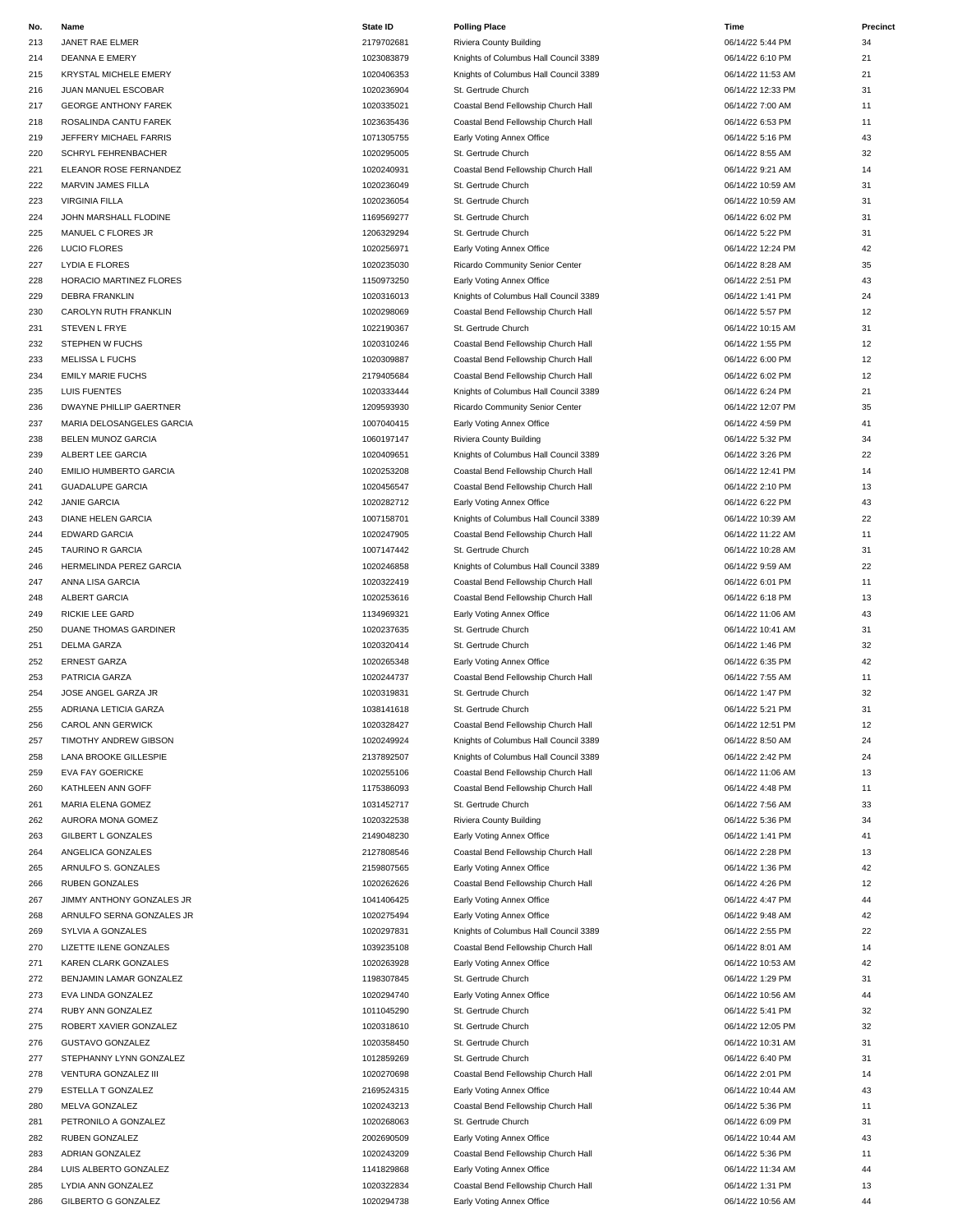| No. | Name                         | <b>State ID</b> | <b>Polling Place</b>                  | Time              | Precinct |
|-----|------------------------------|-----------------|---------------------------------------|-------------------|----------|
| 213 | JANET RAE ELMER              | 2179702681      | Riviera County Building               | 06/14/22 5:44 PM  | 34       |
| 214 | <b>DEANNA E EMERY</b>        | 1023083879      | Knights of Columbus Hall Council 3389 | 06/14/22 6:10 PM  | 21       |
| 215 | <b>KRYSTAL MICHELE EMERY</b> | 1020406353      | Knights of Columbus Hall Council 3389 | 06/14/22 11:53 AM | 21       |
| 216 | JUAN MANUEL ESCOBAR          | 1020236904      | St. Gertrude Church                   | 06/14/22 12:33 PM | 31       |
| 217 | <b>GEORGE ANTHONY FAREK</b>  | 1020335021      | Coastal Bend Fellowship Church Hall   | 06/14/22 7:00 AM  | 11       |
| 218 | ROSALINDA CANTU FAREK        | 1023635436      | Coastal Bend Fellowship Church Hall   | 06/14/22 6:53 PM  | 11       |
| 219 | JEFFERY MICHAEL FARRIS       | 1071305755      | Early Voting Annex Office             | 06/14/22 5:16 PM  | 43       |
| 220 | SCHRYL FEHRENBACHER          | 1020295005      | St. Gertrude Church                   | 06/14/22 8:55 AM  | 32       |
| 221 | ELEANOR ROSE FERNANDEZ       | 1020240931      | Coastal Bend Fellowship Church Hall   | 06/14/22 9:21 AM  | 14       |
| 222 | MARVIN JAMES FILLA           | 1020236049      | St. Gertrude Church                   | 06/14/22 10:59 AM | 31       |
| 223 | <b>VIRGINIA FILLA</b>        | 1020236054      | St. Gertrude Church                   | 06/14/22 10:59 AM | 31       |
| 224 | JOHN MARSHALL FLODINE        | 1169569277      | St. Gertrude Church                   | 06/14/22 6:02 PM  | 31       |
| 225 | MANUEL C FLORES JR           | 1206329294      | St. Gertrude Church                   | 06/14/22 5:22 PM  | 31       |
| 226 | <b>LUCIO FLORES</b>          | 1020256971      | Early Voting Annex Office             | 06/14/22 12:24 PM | 42       |
| 227 | LYDIA E FLORES               | 1020235030      | Ricardo Community Senior Center       | 06/14/22 8:28 AM  | 35       |
| 228 | HORACIO MARTINEZ FLORES      | 1150973250      | Early Voting Annex Office             | 06/14/22 2:51 PM  | 43       |
| 229 | <b>DEBRA FRANKLIN</b>        | 1020316013      | Knights of Columbus Hall Council 3389 | 06/14/22 1:41 PM  | 24       |
| 230 | CAROLYN RUTH FRANKLIN        | 1020298069      | Coastal Bend Fellowship Church Hall   | 06/14/22 5:57 PM  | 12       |
| 231 | STEVEN L FRYE                | 1022190367      | St. Gertrude Church                   | 06/14/22 10:15 AM | 31       |
| 232 | STEPHEN W FUCHS              | 1020310246      | Coastal Bend Fellowship Church Hall   | 06/14/22 1:55 PM  | 12       |
| 233 | <b>MELISSA L FUCHS</b>       | 1020309887      | Coastal Bend Fellowship Church Hall   | 06/14/22 6:00 PM  | 12       |
| 234 | <b>EMILY MARIE FUCHS</b>     | 2179405684      | Coastal Bend Fellowship Church Hall   | 06/14/22 6:02 PM  | 12       |
| 235 | LUIS FUENTES                 | 1020333444      | Knights of Columbus Hall Council 3389 | 06/14/22 6:24 PM  | 21       |
| 236 | DWAYNE PHILLIP GAERTNER      | 1209593930      | Ricardo Community Senior Center       | 06/14/22 12:07 PM | 35       |
| 237 | MARIA DELOSANGELES GARCIA    | 1007040415      | Early Voting Annex Office             | 06/14/22 4:59 PM  | 41       |
| 238 | BELEN MUNOZ GARCIA           | 1060197147      | Riviera County Building               | 06/14/22 5:32 PM  | 34       |
| 239 | ALBERT LEE GARCIA            | 1020409651      | Knights of Columbus Hall Council 3389 | 06/14/22 3:26 PM  | 22       |
| 240 | EMILIO HUMBERTO GARCIA       | 1020253208      | Coastal Bend Fellowship Church Hall   | 06/14/22 12:41 PM | 14       |
| 241 | <b>GUADALUPE GARCIA</b>      | 1020456547      | Coastal Bend Fellowship Church Hall   | 06/14/22 2:10 PM  | 13       |
| 242 | <b>JANIE GARCIA</b>          | 1020282712      |                                       | 06/14/22 6:22 PM  | 43       |
| 243 | DIANE HELEN GARCIA           | 1007158701      | Early Voting Annex Office             | 06/14/22 10:39 AM | 22       |
|     |                              |                 | Knights of Columbus Hall Council 3389 |                   | 11       |
| 244 | <b>EDWARD GARCIA</b>         | 1020247905      | Coastal Bend Fellowship Church Hall   | 06/14/22 11:22 AM |          |
| 245 | TAURINO R GARCIA             | 1007147442      | St. Gertrude Church                   | 06/14/22 10:28 AM | 31       |
| 246 | HERMELINDA PEREZ GARCIA      | 1020246858      | Knights of Columbus Hall Council 3389 | 06/14/22 9:59 AM  | 22       |
| 247 | ANNA LISA GARCIA             | 1020322419      | Coastal Bend Fellowship Church Hall   | 06/14/22 6:01 PM  | 11       |
| 248 | ALBERT GARCIA                | 1020253616      | Coastal Bend Fellowship Church Hall   | 06/14/22 6:18 PM  | 13       |
| 249 | RICKIE LEE GARD              | 1134969321      | Early Voting Annex Office             | 06/14/22 11:06 AM | 43       |
| 250 | DUANE THOMAS GARDINER        | 1020237635      | St. Gertrude Church                   | 06/14/22 10:41 AM | 31       |
| 251 | <b>DELMA GARZA</b>           | 1020320414      | St. Gertrude Church                   | 06/14/22 1:46 PM  | 32       |
| 252 | ERNEST GARZA                 | 1020265348      | Early Voting Annex Office             | 06/14/22 6:35 PM  | 42       |
| 253 | PATRICIA GARZA               | 1020244737      | Coastal Bend Fellowship Church Hall   | 06/14/22 7:55 AM  | 11       |
| 254 | JOSE ANGEL GARZA JR          | 1020319831      | St. Gertrude Church                   | 06/14/22 1:47 PM  | 32       |
| 255 | ADRIANA LETICIA GARZA        | 1038141618      | St. Gertrude Church                   | 06/14/22 5:21 PM  | 31       |
| 256 | CAROL ANN GERWICK            | 1020328427      | Coastal Bend Fellowship Church Hall   | 06/14/22 12:51 PM | 12       |
| 257 | TIMOTHY ANDREW GIBSON        | 1020249924      | Knights of Columbus Hall Council 3389 | 06/14/22 8:50 AM  | 24       |
| 258 | LANA BROOKE GILLESPIE        | 2137892507      | Knights of Columbus Hall Council 3389 | 06/14/22 2:42 PM  | 24       |
| 259 | <b>EVA FAY GOERICKE</b>      | 1020255106      | Coastal Bend Fellowship Church Hall   | 06/14/22 11:06 AM | 13       |
| 260 | KATHLEEN ANN GOFF            | 1175386093      | Coastal Bend Fellowship Church Hall   | 06/14/22 4:48 PM  | 11       |
| 261 | MARIA ELENA GOMEZ            | 1031452717      | St. Gertrude Church                   | 06/14/22 7:56 AM  | 33       |
| 262 | AURORA MONA GOMEZ            | 1020322538      | Riviera County Building               | 06/14/22 5:36 PM  | 34       |
| 263 | GILBERT L GONZALES           | 2149048230      | Early Voting Annex Office             | 06/14/22 1:41 PM  | 41       |
| 264 | ANGELICA GONZALES            | 2127808546      | Coastal Bend Fellowship Church Hall   | 06/14/22 2:28 PM  | 13       |
| 265 | ARNULFO S. GONZALES          | 2159807565      | Early Voting Annex Office             | 06/14/22 1:36 PM  | 42       |
| 266 | <b>RUBEN GONZALES</b>        | 1020262626      | Coastal Bend Fellowship Church Hall   | 06/14/22 4:26 PM  | 12       |
| 267 | JIMMY ANTHONY GONZALES JR    | 1041406425      | Early Voting Annex Office             | 06/14/22 4:47 PM  | 44       |
| 268 | ARNULFO SERNA GONZALES JR    | 1020275494      | Early Voting Annex Office             | 06/14/22 9:48 AM  | 42       |
| 269 | SYLVIA A GONZALES            | 1020297831      | Knights of Columbus Hall Council 3389 | 06/14/22 2:55 PM  | 22       |
| 270 | LIZETTE ILENE GONZALES       | 1039235108      | Coastal Bend Fellowship Church Hall   | 06/14/22 8:01 AM  | 14       |
| 271 | KAREN CLARK GONZALES         | 1020263928      | Early Voting Annex Office             | 06/14/22 10:53 AM | 42       |
| 272 | BENJAMIN LAMAR GONZALEZ      | 1198307845      | St. Gertrude Church                   | 06/14/22 1:29 PM  | 31       |
| 273 | EVA LINDA GONZALEZ           | 1020294740      | Early Voting Annex Office             | 06/14/22 10:56 AM | 44       |
| 274 | RUBY ANN GONZALEZ            | 1011045290      | St. Gertrude Church                   | 06/14/22 5:41 PM  | 32       |
| 275 | ROBERT XAVIER GONZALEZ       | 1020318610      | St. Gertrude Church                   | 06/14/22 12:05 PM | 32       |
| 276 | GUSTAVO GONZALEZ             | 1020358450      | St. Gertrude Church                   | 06/14/22 10:31 AM | 31       |
| 277 | STEPHANNY LYNN GONZALEZ      | 1012859269      | St. Gertrude Church                   | 06/14/22 6:40 PM  | 31       |
| 278 | VENTURA GONZALEZ III         | 1020270698      | Coastal Bend Fellowship Church Hall   | 06/14/22 2:01 PM  | 14       |
| 279 | ESTELLA T GONZALEZ           | 2169524315      | Early Voting Annex Office             | 06/14/22 10:44 AM | 43       |
| 280 | MELVA GONZALEZ               | 1020243213      | Coastal Bend Fellowship Church Hall   | 06/14/22 5:36 PM  | 11       |
| 281 | PETRONILO A GONZALEZ         | 1020268063      | St. Gertrude Church                   | 06/14/22 6:09 PM  | 31       |
| 282 | RUBEN GONZALEZ               | 2002690509      | Early Voting Annex Office             | 06/14/22 10:44 AM | 43       |
| 283 | ADRIAN GONZALEZ              | 1020243209      | Coastal Bend Fellowship Church Hall   | 06/14/22 5:36 PM  | 11       |
| 284 | LUIS ALBERTO GONZALEZ        | 1141829868      | Early Voting Annex Office             | 06/14/22 11:34 AM | 44       |

## 2112 1023083879 Knights of Columbus Hall Council 3389 06/14/22 6:10 PM 21 215 KRYSTAL MICHELE EMERY 1020406353 Knights of Columbus Hall Council 3389 06/14/22 11:53 AM 21 217 GEORGE ANTHONY FAREK 1020335021 Coastal Bend Fellowship Church Hall 06/14/22 7:00 AM 11 218 ROSALINDA CANTU FAREK 1023635436 Coastal Bend Fellowship Church Hall 06/14/22 6:53 PM 11 219 1071305755 Early Voting Annex Office 6 Annual Face 106/14/22 5:16 PM 43 222 1020240931 Coastal Bend Fellowship Church Hall 06/14/22 9:21 AM 14 226 LUCIO FLORES 1020256971 Early Voting Annex Office 06/14/22 12:24 PM 42 235 1020235030 Ricardo Community Senior Center 1020235030 Ricardo Community Senior Center 16 222 1150973250 Early Voting Annex Office 12 Contractor 12 Contractor 1150973250 Contractor 143 1020316013 Knights of Columbus Hall Council 3389 06/14/22 1:41 PM 24 230 CAROLYN RUTH FRANKLIN 1020298069 Coastal Bend Fellowship Church Hall 06/14/22 5:57 PM 12 222 1020310246 Coastal Bend Fellowship Church Hall 06/14/22 1:55 PM 12 233 MELISSA L FUCHS 1020309887 Coastal Bend Fellowship Church Hall 06/14/22 6:00 PM 12 2179405684 Coastal Bend Fellowship Church Hall 06/14/22 6:02 PM 12 235 LUIS FUENTES 1020333444 Knights of Columbus Hall Council 3389 06/14/22 6:24 PM 21 236 DWAYNE PHILLIP GAERTNER 1209593930 Ricardo Community Senior Center 06/14/22 12:07 PM 35 237 MARIA DELOSANGELES GARCIA 1007040415 Early Voting Annex Office 06/14/22 4:59 PM 41 238 1060197147 Riviera County Building 1060197147 Riviera County Building 1060197147 239 ALBERT LEE GARCIA 1020409651 Knights of Columbus Hall Council 3389 06/14/22 3:26 PM 22 240 EMILIO HUMBERTO GARCIA 1020253208 Coastal Bend Fellowship Church Hall 06/14/22 12:41 PM 14 21 1020456547 Coastal Bend Fellowship Church Hall 06/14/22 2:10 PM 13 243 1020282712 Early Voting Annex Office 66/14/22 6:22 PM 43 1007158701 Knights of Columbus Hall Council 3389 06/14/22 10:39 AM 22 244 EDWARD GARCIA 1020247905 Coastal Bend Fellowship Church Hall 06/14/22 11:22 AM 11 1020246858 Knights of Columbus Hall Council 3389 06/14/22 9:59 AM 22 2122 1020322419 Coastal Bend Fellowship Church Hall 06/14/22 6:01 PM 11 248 ALBERT GARCIA 1020253616 Coastal Bend Fellowship Church Hall 06/14/22 6:18 PM 13 252 ERNEST GARZA 1020265348 Early Voting Annex Office 06/14/22 6:35 PM 42 253 PATRICIA GARZA 1020244737 Coastal Bend Fellowship Church Hall 06/14/22 7:55 AM 11 256 CAROL ANN GERWICK 1020328427 Coastal Bend Fellowship Church Hall 06/14/22 12:51 PM 12 24 1020249924 Knights of Columbus Hall Council 3389 06/14/22 8:50 AM 24 2137892507 Knights of Columbus Hall Council 3389 06/14/22 2:42 PM 24 202055106 Coastal Bend Fellowship Church Hall 06/14/22 11:06 AM 13 260 1175386093 Coastal Bend Fellowship Church Hall 06/14/22 4:48 PM 11 262 1020322538 Riviera County Building 1020322536 PM 34 2127808546 Coastal Bend Fellowship Church Hall 06/14/22 2:28 PM 13 2159807565 Early Voting Annex Office 2159807565 Capital Archives 2159807565 Early Voting Annex Office 266 RUBEN GONZALES 1020262626 Coastal Bend Fellowship Church Hall 06/14/22 4:26 PM 12 267 1041406425 Early Voting Annex Office 19 12 12:47 PM 66/14/22 4:47 PM 44 20275494 Early Voting Annex Office **ARCISTS** 1020275494 **Carly Voting Annex Office** 06/14/22 9:48 AM 42 1020297831 Knights of Columbus Hall Council 3389 06/14/22 2:55 PM 22 270 1039235108 Coastal Bend Fellowship Church Hall 06/14/22 8:01 AM 14 271 KAREN CLARK GONZALES 1020263928 Early Voting Annex Office 06/14/22 10:53 AM 42 273 1020294740 Early Voting Annex Office 1020294740 Early Voting Annex Office 105/14/22 10:56 AM 2027 1020270698 Coastal Bend Fellowship Church Hall 06/14/22 2:01 PM 14 280 MELVA GONZALEZ 1020243213 Coastal Bend Fellowship Church Hall 06/14/22 5:36 PM 11 2002690509 Early Voting Annex Office **Department Concernsive Concernsive Concernsive Concernsive Concernsive Co** 20243209 Coastal Bend Fellowship Church Hall 06/14/22 5:36 PM 11 29868 Early Voting Annex Office **Early Voting Annex Office** 06/14/22 11:34 AM 44 285 LYDIA ANN GONZALEZ 1020322834 1020322834 Coastal Bend Fellowship Church Hall 106/14/22 1:31 PM 13 286 GILBERTO G GONZALEZ 1020294738 Early Voting Annex Office 06/14/22 10:56 AM 44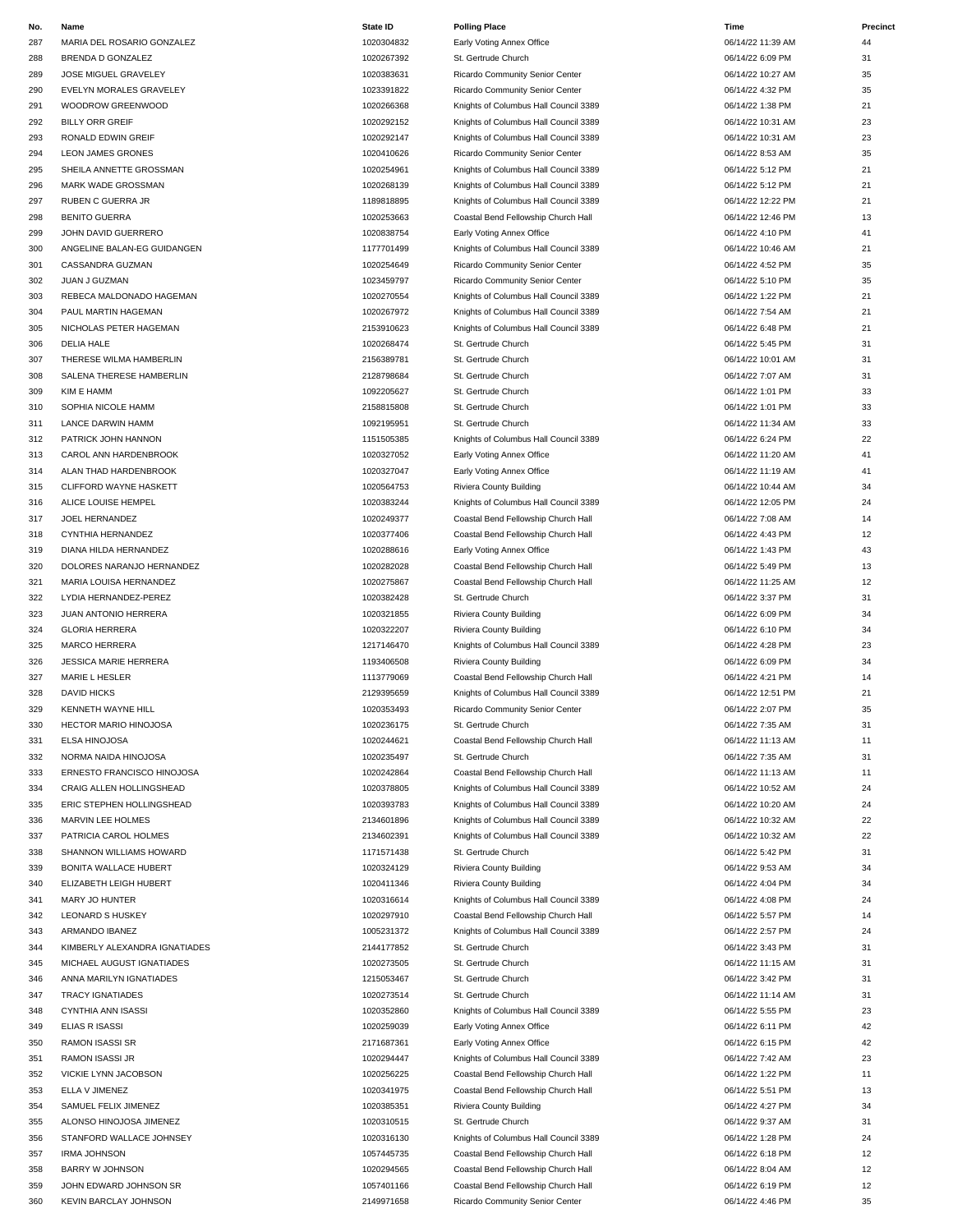| No. | Name                          | <b>State ID</b> | <b>Polling Place</b>                  | Time              | Precinct |
|-----|-------------------------------|-----------------|---------------------------------------|-------------------|----------|
| 287 | MARIA DEL ROSARIO GONZALEZ    | 1020304832      | Early Voting Annex Office             | 06/14/22 11:39 AM | 44       |
| 288 | BRENDA D GONZALEZ             | 1020267392      | St. Gertrude Church                   | 06/14/22 6:09 PM  | 31       |
| 289 | JOSE MIGUEL GRAVELEY          | 1020383631      | Ricardo Community Senior Center       | 06/14/22 10:27 AM | 35       |
| 290 | EVELYN MORALES GRAVELEY       | 1023391822      | Ricardo Community Senior Center       | 06/14/22 4:32 PM  | 35       |
| 291 | WOODROW GREENWOOD             | 1020266368      | Knights of Columbus Hall Council 3389 | 06/14/22 1:38 PM  | 21       |
| 292 | <b>BILLY ORR GREIF</b>        | 1020292152      | Knights of Columbus Hall Council 3389 | 06/14/22 10:31 AM | 23       |
| 293 | RONALD EDWIN GREIF            | 1020292147      | Knights of Columbus Hall Council 3389 | 06/14/22 10:31 AM | 23       |
|     |                               |                 |                                       |                   |          |
| 294 | <b>LEON JAMES GRONES</b>      | 1020410626      | Ricardo Community Senior Center       | 06/14/22 8:53 AM  | 35       |
| 295 | SHEILA ANNETTE GROSSMAN       | 1020254961      | Knights of Columbus Hall Council 3389 | 06/14/22 5:12 PM  | 21       |
| 296 | MARK WADE GROSSMAN            | 1020268139      | Knights of Columbus Hall Council 3389 | 06/14/22 5:12 PM  | 21       |
| 297 | RUBEN C GUERRA JR             | 1189818895      | Knights of Columbus Hall Council 3389 | 06/14/22 12:22 PM | 21       |
| 298 | <b>BENITO GUERRA</b>          | 1020253663      | Coastal Bend Fellowship Church Hall   | 06/14/22 12:46 PM | 13       |
| 299 | JOHN DAVID GUERRERO           | 1020838754      | Early Voting Annex Office             | 06/14/22 4:10 PM  | 41       |
| 300 | ANGELINE BALAN-EG GUIDANGEN   | 1177701499      | Knights of Columbus Hall Council 3389 | 06/14/22 10:46 AM | 21       |
| 301 | CASSANDRA GUZMAN              | 1020254649      | Ricardo Community Senior Center       | 06/14/22 4:52 PM  | 35       |
| 302 | JUAN J GUZMAN                 | 1023459797      | Ricardo Community Senior Center       | 06/14/22 5:10 PM  | 35       |
| 303 | REBECA MALDONADO HAGEMAN      | 1020270554      | Knights of Columbus Hall Council 3389 | 06/14/22 1:22 PM  | 21       |
| 304 | PAUL MARTIN HAGEMAN           | 1020267972      | Knights of Columbus Hall Council 3389 | 06/14/22 7:54 AM  | 21       |
| 305 | NICHOLAS PETER HAGEMAN        | 2153910623      | Knights of Columbus Hall Council 3389 | 06/14/22 6:48 PM  | 21       |
|     |                               |                 |                                       | 06/14/22 5:45 PM  | 31       |
| 306 | <b>DELIA HALE</b>             | 1020268474      | St. Gertrude Church                   |                   |          |
| 307 | THERESE WILMA HAMBERLIN       | 2156389781      | St. Gertrude Church                   | 06/14/22 10:01 AM | 31       |
| 308 | SALENA THERESE HAMBERLIN      | 2128798684      | St. Gertrude Church                   | 06/14/22 7:07 AM  | 31       |
| 309 | KIM E HAMM                    | 1092205627      | St. Gertrude Church                   | 06/14/22 1:01 PM  | 33       |
| 310 | SOPHIA NICOLE HAMM            | 2158815808      | St. Gertrude Church                   | 06/14/22 1:01 PM  | 33       |
| 311 | LANCE DARWIN HAMM             | 1092195951      | St. Gertrude Church                   | 06/14/22 11:34 AM | 33       |
| 312 | PATRICK JOHN HANNON           | 1151505385      | Knights of Columbus Hall Council 3389 | 06/14/22 6:24 PM  | 22       |
| 313 | CAROL ANN HARDENBROOK         | 1020327052      | Early Voting Annex Office             | 06/14/22 11:20 AM | 41       |
| 314 | ALAN THAD HARDENBROOK         | 1020327047      | Early Voting Annex Office             | 06/14/22 11:19 AM | 41       |
| 315 | CLIFFORD WAYNE HASKETT        | 1020564753      | Riviera County Building               | 06/14/22 10:44 AM | 34       |
| 316 | ALICE LOUISE HEMPEL           | 1020383244      | Knights of Columbus Hall Council 3389 | 06/14/22 12:05 PM | 24       |
| 317 | JOEL HERNANDEZ                | 1020249377      | Coastal Bend Fellowship Church Hall   | 06/14/22 7:08 AM  | 14       |
| 318 | CYNTHIA HERNANDEZ             | 1020377406      | Coastal Bend Fellowship Church Hall   | 06/14/22 4:43 PM  | 12       |
| 319 | DIANA HILDA HERNANDEZ         | 1020288616      | Early Voting Annex Office             | 06/14/22 1:43 PM  | 43       |
| 320 | DOLORES NARANJO HERNANDEZ     | 1020282028      | Coastal Bend Fellowship Church Hall   | 06/14/22 5:49 PM  | 13       |
| 321 | MARIA LOUISA HERNANDEZ        | 1020275867      | Coastal Bend Fellowship Church Hall   | 06/14/22 11:25 AM | 12       |
| 322 | LYDIA HERNANDEZ-PEREZ         | 1020382428      | St. Gertrude Church                   | 06/14/22 3:37 PM  | 31       |
| 323 | JUAN ANTONIO HERRERA          | 1020321855      |                                       | 06/14/22 6:09 PM  | 34       |
|     |                               | 1020322207      | Riviera County Building               |                   |          |
| 324 | <b>GLORIA HERRERA</b>         |                 | Riviera County Building               | 06/14/22 6:10 PM  | 34       |
| 325 | <b>MARCO HERRERA</b>          | 1217146470      | Knights of Columbus Hall Council 3389 | 06/14/22 4:28 PM  | 23       |
| 326 | JESSICA MARIE HERRERA         | 1193406508      | Riviera County Building               | 06/14/22 6:09 PM  | 34       |
| 327 | MARIE L HESLER                | 1113779069      | Coastal Bend Fellowship Church Hall   | 06/14/22 4:21 PM  | 14       |
| 328 | <b>DAVID HICKS</b>            | 2129395659      | Knights of Columbus Hall Council 3389 | 06/14/22 12:51 PM | 21       |
| 329 | <b>KENNETH WAYNE HILL</b>     | 1020353493      | Ricardo Community Senior Center       | 06/14/22 2:07 PM  | 35       |
| 330 | <b>HECTOR MARIO HINOJOSA</b>  | 1020236175      | St. Gertrude Church                   | 06/14/22 7:35 AM  | 31       |
| 331 | ELSA HINOJOSA                 | 1020244621      | Coastal Bend Fellowship Church Hall   | 06/14/22 11:13 AM | 11       |
| 332 | NORMA NAIDA HINOJOSA          | 1020235497      | St. Gertrude Church                   | 06/14/22 7:35 AM  | 31       |
| 333 | ERNESTO FRANCISCO HINOJOSA    | 1020242864      | Coastal Bend Fellowship Church Hall   | 06/14/22 11:13 AM | 11       |
| 334 | CRAIG ALLEN HOLLINGSHEAD      | 1020378805      | Knights of Columbus Hall Council 3389 | 06/14/22 10:52 AM | 24       |
| 335 | ERIC STEPHEN HOLLINGSHEAD     | 1020393783      | Knights of Columbus Hall Council 3389 | 06/14/22 10:20 AM | 24       |
| 336 | MARVIN LEE HOLMES             | 2134601896      | Knights of Columbus Hall Council 3389 | 06/14/22 10:32 AM | 22       |
| 337 | PATRICIA CAROL HOLMES         | 2134602391      | Knights of Columbus Hall Council 3389 | 06/14/22 10:32 AM | 22       |
| 338 | SHANNON WILLIAMS HOWARD       | 1171571438      | St. Gertrude Church                   | 06/14/22 5:42 PM  | 31       |
|     |                               | 1020324129      |                                       |                   |          |
| 339 | <b>BONITA WALLACE HUBERT</b>  |                 | Riviera County Building               | 06/14/22 9:53 AM  | 34       |
| 340 | ELIZABETH LEIGH HUBERT        | 1020411346      | Riviera County Building               | 06/14/22 4:04 PM  | 34       |
| 341 | MARY JO HUNTER                | 1020316614      | Knights of Columbus Hall Council 3389 | 06/14/22 4:08 PM  | 24       |
| 342 | <b>LEONARD S HUSKEY</b>       | 1020297910      | Coastal Bend Fellowship Church Hall   | 06/14/22 5:57 PM  | 14       |
| 343 | ARMANDO IBANEZ                | 1005231372      | Knights of Columbus Hall Council 3389 | 06/14/22 2:57 PM  | 24       |
| 344 | KIMBERLY ALEXANDRA IGNATIADES | 2144177852      | St. Gertrude Church                   | 06/14/22 3:43 PM  | 31       |
| 345 | MICHAEL AUGUST IGNATIADES     | 1020273505      | St. Gertrude Church                   | 06/14/22 11:15 AM | 31       |
| 346 | ANNA MARILYN IGNATIADES       | 1215053467      | St. Gertrude Church                   | 06/14/22 3:42 PM  | 31       |
| 347 | <b>TRACY IGNATIADES</b>       | 1020273514      | St. Gertrude Church                   | 06/14/22 11:14 AM | 31       |
| 348 | <b>CYNTHIA ANN ISASSI</b>     | 1020352860      | Knights of Columbus Hall Council 3389 | 06/14/22 5:55 PM  | 23       |
| 349 | ELIAS R ISASSI                | 1020259039      | Early Voting Annex Office             | 06/14/22 6:11 PM  | 42       |
| 350 | RAMON ISASSI SR               | 2171687361      | Early Voting Annex Office             | 06/14/22 6:15 PM  | 42       |
| 351 | <b>RAMON ISASSI JR</b>        | 1020294447      | Knights of Columbus Hall Council 3389 | 06/14/22 7:42 AM  | 23       |
| 352 | VICKIE LYNN JACOBSON          | 1020256225      | Coastal Bend Fellowship Church Hall   | 06/14/22 1:22 PM  | 11       |
| 353 | ELLA V JIMENEZ                | 1020341975      | Coastal Bend Fellowship Church Hall   | 06/14/22 5:51 PM  | 13       |
| 354 | SAMUEL FELIX JIMENEZ          | 1020385351      | Riviera County Building               | 06/14/22 4:27 PM  | 34       |
| 355 | ALONSO HINOJOSA JIMENEZ       | 1020310515      | St. Gertrude Church                   | 06/14/22 9:37 AM  | 31       |
| 356 | STANFORD WALLACE JOHNSEY      | 1020316130      | Knights of Columbus Hall Council 3389 | 06/14/22 1:28 PM  | 24       |
| 357 | <b>IRMA JOHNSON</b>           | 1057445735      | Coastal Bend Fellowship Church Hall   | 06/14/22 6:18 PM  | 12       |
| 358 | <b>BARRY W JOHNSON</b>        | 1020294565      | Coastal Bend Fellowship Church Hall   | 06/14/22 8:04 AM  | 12       |
|     |                               |                 |                                       |                   |          |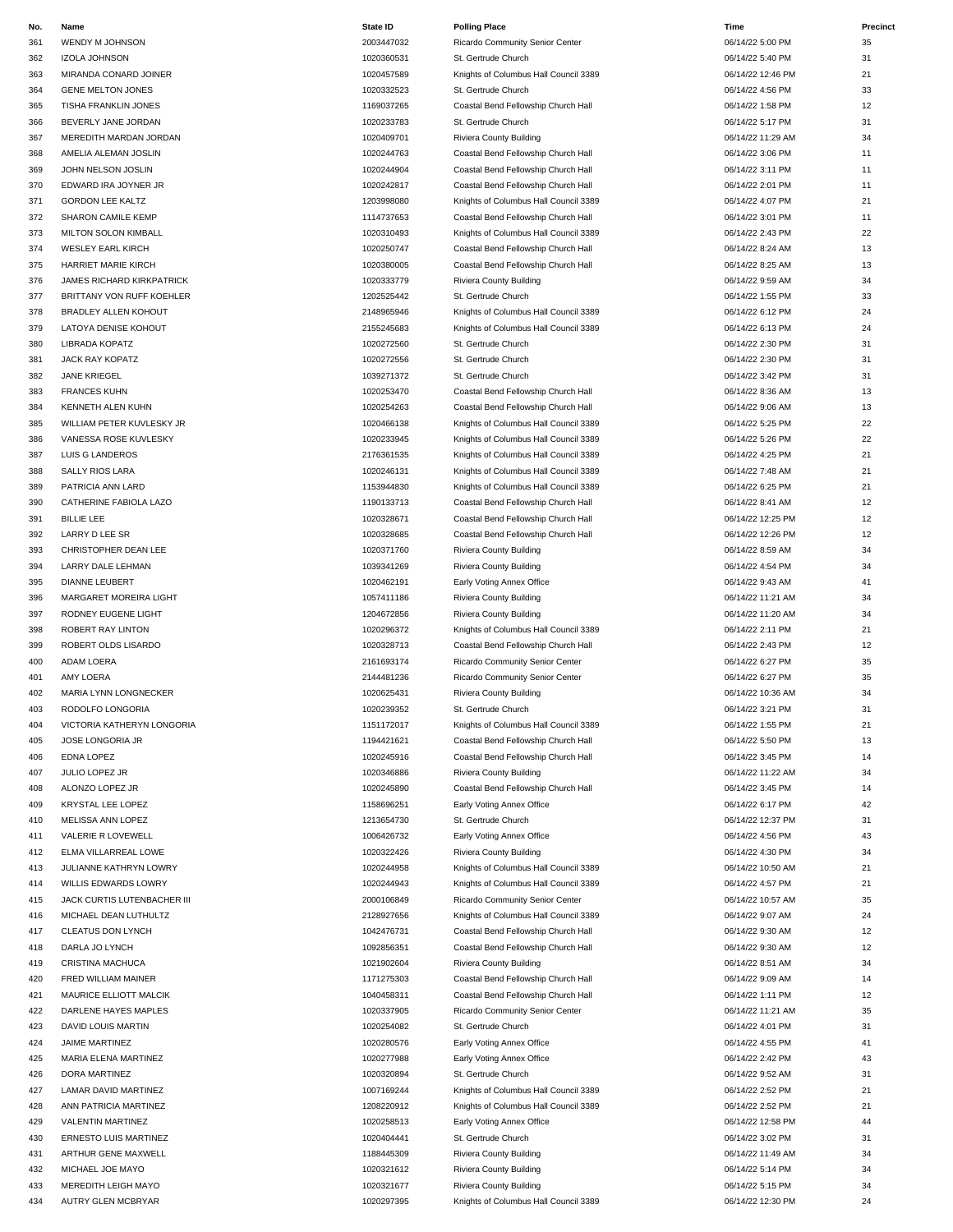| No. | Name                        | State ID   | <b>Polling Place</b>                  | Time              | Precinct |
|-----|-----------------------------|------------|---------------------------------------|-------------------|----------|
| 361 | WENDY M JOHNSON             | 2003447032 | Ricardo Community Senior Center       | 06/14/22 5:00 PM  | 35       |
| 362 | <b>IZOLA JOHNSON</b>        | 1020360531 | St. Gertrude Church                   | 06/14/22 5:40 PM  | 31       |
| 363 | MIRANDA CONARD JOINER       | 1020457589 | Knights of Columbus Hall Council 3389 | 06/14/22 12:46 PM | 21       |
| 364 | <b>GENE MELTON JONES</b>    | 1020332523 | St. Gertrude Church                   | 06/14/22 4:56 PM  | 33       |
| 365 | TISHA FRANKLIN JONES        | 1169037265 | Coastal Bend Fellowship Church Hall   | 06/14/22 1:58 PM  | 12       |
| 366 | BEVERLY JANE JORDAN         | 1020233783 | St. Gertrude Church                   | 06/14/22 5:17 PM  | 31       |
| 367 | MEREDITH MARDAN JORDAN      | 1020409701 | Riviera County Building               | 06/14/22 11:29 AM | 34       |
|     |                             |            |                                       |                   |          |
| 368 | AMELIA ALEMAN JOSLIN        | 1020244763 | Coastal Bend Fellowship Church Hall   | 06/14/22 3:06 PM  | 11       |
| 369 | JOHN NELSON JOSLIN          | 1020244904 | Coastal Bend Fellowship Church Hall   | 06/14/22 3:11 PM  | 11       |
| 370 | EDWARD IRA JOYNER JR        | 1020242817 | Coastal Bend Fellowship Church Hall   | 06/14/22 2:01 PM  | 11       |
| 371 | <b>GORDON LEE KALTZ</b>     | 1203998080 | Knights of Columbus Hall Council 3389 | 06/14/22 4:07 PM  | 21       |
| 372 | <b>SHARON CAMILE KEMP</b>   | 1114737653 | Coastal Bend Fellowship Church Hall   | 06/14/22 3:01 PM  | 11       |
| 373 | MILTON SOLON KIMBALL        | 1020310493 | Knights of Columbus Hall Council 3389 | 06/14/22 2:43 PM  | 22       |
| 374 | <b>WESLEY EARL KIRCH</b>    | 1020250747 | Coastal Bend Fellowship Church Hall   | 06/14/22 8:24 AM  | 13       |
| 375 | HARRIET MARIE KIRCH         | 1020380005 | Coastal Bend Fellowship Church Hall   | 06/14/22 8:25 AM  | 13       |
| 376 | JAMES RICHARD KIRKPATRICK   | 1020333779 | Riviera County Building               | 06/14/22 9:59 AM  | 34       |
| 377 | BRITTANY VON RUFF KOEHLER   | 1202525442 | St. Gertrude Church                   | 06/14/22 1:55 PM  | 33       |
| 378 | <b>BRADLEY ALLEN KOHOUT</b> | 2148965946 | Knights of Columbus Hall Council 3389 | 06/14/22 6:12 PM  | 24       |
|     |                             |            |                                       | 06/14/22 6:13 PM  |          |
| 379 | LATOYA DENISE KOHOUT        | 2155245683 | Knights of Columbus Hall Council 3389 |                   | 24       |
| 380 | LIBRADA KOPATZ              | 1020272560 | St. Gertrude Church                   | 06/14/22 2:30 PM  | 31       |
| 381 | JACK RAY KOPATZ             | 1020272556 | St. Gertrude Church                   | 06/14/22 2:30 PM  | 31       |
| 382 | <b>JANE KRIEGEL</b>         | 1039271372 | St. Gertrude Church                   | 06/14/22 3:42 PM  | 31       |
| 383 | <b>FRANCES KUHN</b>         | 1020253470 | Coastal Bend Fellowship Church Hall   | 06/14/22 8:36 AM  | 13       |
| 384 | KENNETH ALEN KUHN           | 1020254263 | Coastal Bend Fellowship Church Hall   | 06/14/22 9:06 AM  | 13       |
| 385 | WILLIAM PETER KUVLESKY JR   | 1020466138 | Knights of Columbus Hall Council 3389 | 06/14/22 5:25 PM  | 22       |
| 386 | VANESSA ROSE KUVLESKY       | 1020233945 | Knights of Columbus Hall Council 3389 | 06/14/22 5:26 PM  | 22       |
| 387 | LUIS G LANDEROS             | 2176361535 | Knights of Columbus Hall Council 3389 | 06/14/22 4:25 PM  | 21       |
| 388 | <b>SALLY RIOS LARA</b>      | 1020246131 | Knights of Columbus Hall Council 3389 | 06/14/22 7:48 AM  | 21       |
|     | PATRICIA ANN LARD           | 1153944830 |                                       | 06/14/22 6:25 PM  | 21       |
| 389 |                             |            | Knights of Columbus Hall Council 3389 |                   |          |
| 390 | CATHERINE FABIOLA LAZO      | 1190133713 | Coastal Bend Fellowship Church Hall   | 06/14/22 8:41 AM  | 12       |
| 391 | <b>BILLIE LEE</b>           | 1020328671 | Coastal Bend Fellowship Church Hall   | 06/14/22 12:25 PM | 12       |
| 392 | LARRY D LEE SR              | 1020328685 | Coastal Bend Fellowship Church Hall   | 06/14/22 12:26 PM | 12       |
| 393 | CHRISTOPHER DEAN LEE        | 1020371760 | Riviera County Building               | 06/14/22 8:59 AM  | 34       |
| 394 | LARRY DALE LEHMAN           | 1039341269 | Riviera County Building               | 06/14/22 4:54 PM  | 34       |
| 395 | <b>DIANNE LEUBERT</b>       | 1020462191 | Early Voting Annex Office             | 06/14/22 9:43 AM  | 41       |
| 396 | MARGARET MOREIRA LIGHT      | 1057411186 | Riviera County Building               | 06/14/22 11:21 AM | 34       |
| 397 | RODNEY EUGENE LIGHT         | 1204672856 | Riviera County Building               | 06/14/22 11:20 AM | 34       |
| 398 | <b>ROBERT RAY LINTON</b>    | 1020296372 | Knights of Columbus Hall Council 3389 | 06/14/22 2:11 PM  | 21       |
| 399 | ROBERT OLDS LISARDO         | 1020328713 | Coastal Bend Fellowship Church Hall   | 06/14/22 2:43 PM  | 12       |
|     | ADAM LOERA                  | 2161693174 | Ricardo Community Senior Center       |                   | 35       |
| 400 |                             |            |                                       | 06/14/22 6:27 PM  |          |
| 401 | AMY LOERA                   | 2144481236 | Ricardo Community Senior Center       | 06/14/22 6:27 PM  | 35       |
| 402 | MARIA LYNN LONGNECKER       | 1020625431 | Riviera County Building               | 06/14/22 10:36 AM | 34       |
| 403 | RODOLFO LONGORIA            | 1020239352 | St. Gertrude Church                   | 06/14/22 3:21 PM  | 31       |
| 404 | VICTORIA KATHERYN LONGORIA  | 1151172017 | Knights of Columbus Hall Council 3389 | 06/14/22 1:55 PM  | 21       |
| 405 | JOSE LONGORIA JR            | 1194421621 | Coastal Bend Fellowship Church Hall   | 06/14/22 5:50 PM  | 13       |
| 406 | EDNA LOPEZ                  | 1020245916 | Coastal Bend Fellowship Church Hall   | 06/14/22 3:45 PM  | 14       |
| 407 | JULIO LOPEZ JR              | 1020346886 | Riviera County Building               | 06/14/22 11:22 AM | 34       |
| 408 | ALONZO LOPEZ JR             | 1020245890 | Coastal Bend Fellowship Church Hall   | 06/14/22 3:45 PM  | 14       |
| 409 | KRYSTAL LEE LOPEZ           | 1158696251 | Early Voting Annex Office             | 06/14/22 6:17 PM  | 42       |
| 410 | MELISSA ANN LOPEZ           | 1213654730 | St. Gertrude Church                   | 06/14/22 12:37 PM | 31       |
|     |                             |            |                                       |                   |          |
| 411 | VALERIE R LOVEWELL          | 1006426732 | Early Voting Annex Office             | 06/14/22 4:56 PM  | 43       |
| 412 | ELMA VILLARREAL LOWE        | 1020322426 | Riviera County Building               | 06/14/22 4:30 PM  | 34       |
| 413 | JULIANNE KATHRYN LOWRY      | 1020244958 | Knights of Columbus Hall Council 3389 | 06/14/22 10:50 AM | 21       |
| 414 | WILLIS EDWARDS LOWRY        | 1020244943 | Knights of Columbus Hall Council 3389 | 06/14/22 4:57 PM  | 21       |
| 415 | JACK CURTIS LUTENBACHER III | 2000106849 | Ricardo Community Senior Center       | 06/14/22 10:57 AM | 35       |
| 416 | MICHAEL DEAN LUTHULTZ       | 2128927656 | Knights of Columbus Hall Council 3389 | 06/14/22 9:07 AM  | 24       |
| 417 | CLEATUS DON LYNCH           | 1042476731 | Coastal Bend Fellowship Church Hall   | 06/14/22 9:30 AM  | 12       |
| 418 | DARLA JO LYNCH              | 1092856351 | Coastal Bend Fellowship Church Hall   | 06/14/22 9:30 AM  | 12       |
| 419 | CRISTINA MACHUCA            | 1021902604 | Riviera County Building               | 06/14/22 8:51 AM  | 34       |
| 420 | FRED WILLIAM MAINER         | 1171275303 | Coastal Bend Fellowship Church Hall   | 06/14/22 9:09 AM  | 14       |
| 421 |                             | 1040458311 | Coastal Bend Fellowship Church Hall   |                   | 12       |
|     | MAURICE ELLIOTT MALCIK      |            |                                       | 06/14/22 1:11 PM  |          |
| 422 | DARLENE HAYES MAPLES        | 1020337905 | Ricardo Community Senior Center       | 06/14/22 11:21 AM | 35       |
| 423 | DAVID LOUIS MARTIN          | 1020254082 | St. Gertrude Church                   | 06/14/22 4:01 PM  | 31       |
| 424 | JAIME MARTINEZ              | 1020280576 | Early Voting Annex Office             | 06/14/22 4:55 PM  | 41       |
| 425 | MARIA ELENA MARTINEZ        | 1020277988 | Early Voting Annex Office             | 06/14/22 2:42 PM  | 43       |
| 426 | DORA MARTINEZ               | 1020320894 | St. Gertrude Church                   | 06/14/22 9:52 AM  | 31       |
| 427 | LAMAR DAVID MARTINEZ        | 1007169244 | Knights of Columbus Hall Council 3389 | 06/14/22 2:52 PM  | 21       |
| 428 | ANN PATRICIA MARTINEZ       | 1208220912 | Knights of Columbus Hall Council 3389 | 06/14/22 2:52 PM  | 21       |
| 429 | VALENTIN MARTINEZ           | 1020258513 | Early Voting Annex Office             | 06/14/22 12:58 PM | 44       |
| 430 | ERNESTO LUIS MARTINEZ       | 1020404441 | St. Gertrude Church                   | 06/14/22 3:02 PM  | 31       |
|     |                             | 1188445309 | Riviera County Building               |                   | 34       |
| 431 | ARTHUR GENE MAXWELL         |            |                                       | 06/14/22 11:49 AM |          |
| 432 | MICHAEL JOE MAYO            | 1020321612 | Riviera County Building               | 06/14/22 5:14 PM  | 34       |

| 455 | MEREDH LEIGH MAYU  |
|-----|--------------------|
| 434 | AUTRY GLEN MCBRYAR |

### 366 BEVERLY JANE JORDAN 31 COLLECT STREET ASSEMBLY JAN 2020233783 St. Gertrude Church 26-11 2002 2001 2002 200 367 MEREDITH MARDAN JORDAN 1020409701 Riviera County Building 06/14/22 11:29 AM 34 368 AMELIA ALEMAN JOSLIN 1020244763 Coastal Bend Fellowship Church Hall 06/14/22 3:06 PM 11 369 JOHN NELSON JOSLIN 1020244904 Coastal Bend Fellowship Church Hall 06/14/22 3:11 PM 11 370 EDWARD IRA JOYNER JR 1020242817 Coastal Bend Fellowship Church Hall 06/14/22 2:01 PM 11 1203998080 Knights of Columbus Hall Council 3389 06/14/22 4:07 PM 21 372 SHARON CAMILE KEMP 1114737653 Coastal Bend Fellowship Church Hall 06/14/22 3:01 PM 11 373 MILTON SOLON KIMBALL 1020310493 Knights of Columbus Hall Council 3389 06/14/22 2:43 PM 22 374 WESLEY EARL KIRCH 1020250747 Coastal Bend Fellowship Church Hall 06/14/22 8:24 AM 13 375 HARRIET MARIE KIRCH 1020380005 Coastal Bend Fellowship Church Hall 06/14/22 8:25 AM 13 376 JAMES RICHARD KIRKPATRICK 1020333779 Riviera County Building 06/14/22 9:59 AM 34 377 BRITTANY VON RUFF KOEHLER 12002525442 St. Gertrude Church 1202525442 St. Gertrude Church 1202525442 33 2148965946 Knights of Columbus Hall Council 3389 06/14/22 6:12 PM 24 2155245683 Knights of Columbus Hall Council 3389 06/14/22 6:13 PM 24 380 LIBRADA KOPATZ 2002 2002 1020272560 St. Gertrude Church 2002 2008/14/22 2:30 PM 31 381 JACK RAY KOPATZ 1020272556 St. Gertrude Church 06/14/22 2:30 PM 31 382 JANE KRIEGEL 1039271372 St. Gertrude Church 06/14/22 3:42 PM 31 383 FRANCES KUHN 1020253470 Coastal Bend Fellowship Church Hall 06/14/22 8:36 AM 13 1020254263 Coastal Bend Fellowship Church Hall 06/14/22 9:06 AM 13 385 WILLIAM PETER KUVLESKY JR 1020466138 Knights of Columbus Hall Council 3389 06/14/22 5:25 PM 22 1020233945 Knights of Columbus Hall Council 3389 06/14/22 5:26 PM 22 2176361535 Knights of Columbus Hall Council 3389 06/14/22 4:25 PM 21 388 SALLY RIOS LARA 1020246131 Knights of Columbus Hall Council 3389 06/14/22 7:48 AM 21 389 PATRICIA ANN LARD 1153944830 Knights of Columbus Hall Council 3389 06/14/22 6:25 PM 21 390 CATHERINE FABIOLA LAZO 1190133713 Coastal Bend Fellowship Church Hall 06/14/22 8:41 AM 12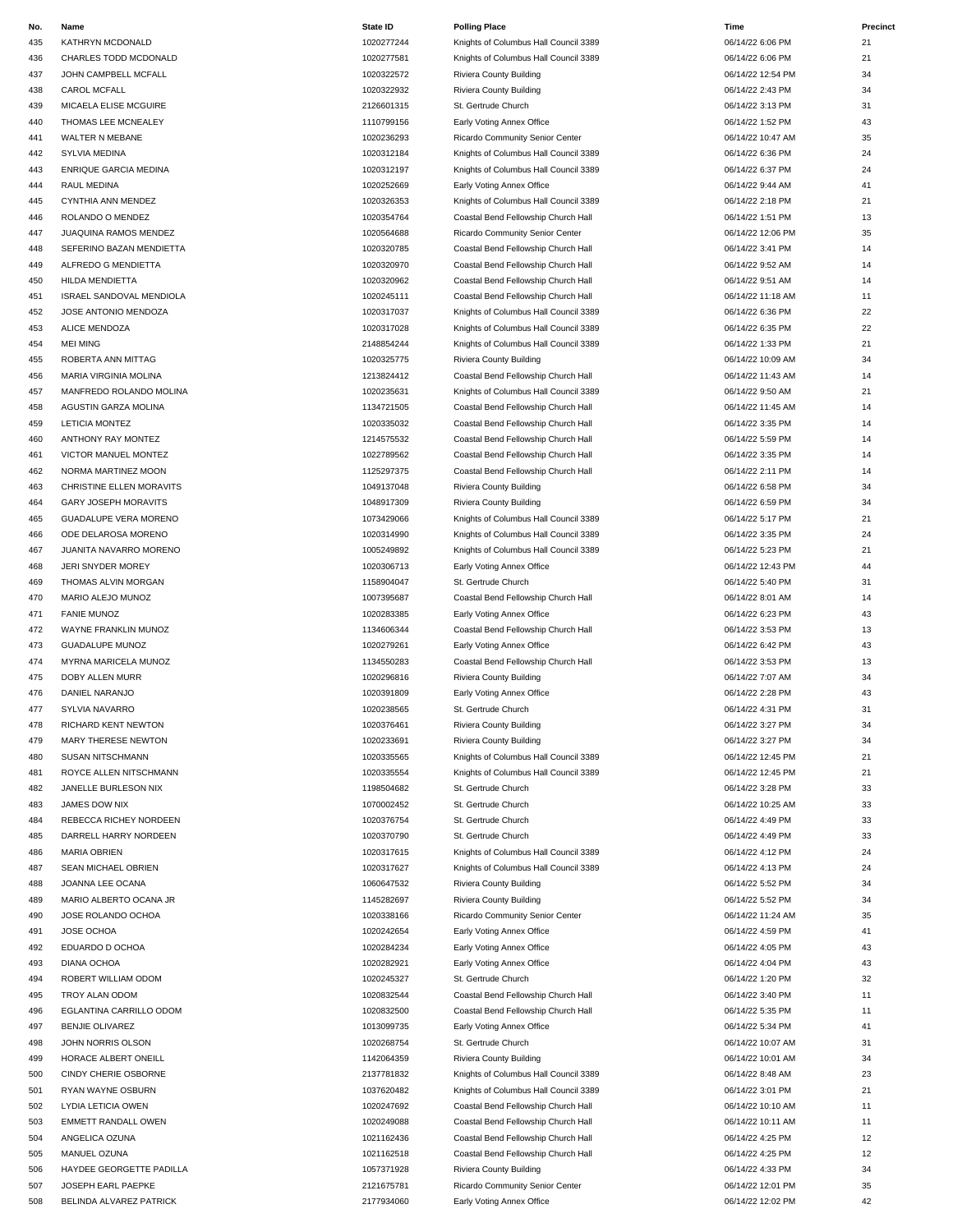| No. | Name                         | State ID   | <b>Polling Place</b>                  | Time              | Precinct |
|-----|------------------------------|------------|---------------------------------------|-------------------|----------|
| 435 | KATHRYN MCDONALD             | 1020277244 | Knights of Columbus Hall Council 3389 | 06/14/22 6:06 PM  | 21       |
| 436 | CHARLES TODD MCDONALD        | 1020277581 | Knights of Columbus Hall Council 3389 | 06/14/22 6:06 PM  | 21       |
| 437 | JOHN CAMPBELL MCFALL         | 1020322572 | Riviera County Building               | 06/14/22 12:54 PM | 34       |
|     |                              |            |                                       |                   |          |
| 438 | CAROL MCFALL                 | 1020322932 | Riviera County Building               | 06/14/22 2:43 PM  | 34       |
| 439 | MICAELA ELISE MCGUIRE        | 2126601315 | St. Gertrude Church                   | 06/14/22 3:13 PM  | 31       |
| 440 | THOMAS LEE MCNEALEY          | 1110799156 | Early Voting Annex Office             | 06/14/22 1:52 PM  | 43       |
| 441 | WALTER N MEBANE              | 1020236293 | Ricardo Community Senior Center       | 06/14/22 10:47 AM | 35       |
| 442 | SYLVIA MEDINA                | 1020312184 | Knights of Columbus Hall Council 3389 | 06/14/22 6:36 PM  | 24       |
|     |                              |            |                                       |                   |          |
| 443 | ENRIQUE GARCIA MEDINA        | 1020312197 | Knights of Columbus Hall Council 3389 | 06/14/22 6:37 PM  | 24       |
| 444 | RAUL MEDINA                  | 1020252669 | Early Voting Annex Office             | 06/14/22 9:44 AM  | 41       |
| 445 | CYNTHIA ANN MENDEZ           | 1020326353 | Knights of Columbus Hall Council 3389 | 06/14/22 2:18 PM  | 21       |
| 446 | ROLANDO O MENDEZ             | 1020354764 | Coastal Bend Fellowship Church Hall   | 06/14/22 1:51 PM  | 13       |
| 447 | JUAQUINA RAMOS MENDEZ        | 1020564688 | Ricardo Community Senior Center       | 06/14/22 12:06 PM | 35       |
|     |                              |            |                                       |                   |          |
| 448 | SEFERINO BAZAN MENDIETTA     | 1020320785 | Coastal Bend Fellowship Church Hall   | 06/14/22 3:41 PM  | 14       |
| 449 | ALFREDO G MENDIETTA          | 1020320970 | Coastal Bend Fellowship Church Hall   | 06/14/22 9:52 AM  | 14       |
| 450 | HILDA MENDIETTA              | 1020320962 | Coastal Bend Fellowship Church Hall   | 06/14/22 9:51 AM  | 14       |
| 451 | ISRAEL SANDOVAL MENDIOLA     | 1020245111 | Coastal Bend Fellowship Church Hall   | 06/14/22 11:18 AM | 11       |
| 452 | JOSE ANTONIO MENDOZA         | 1020317037 | Knights of Columbus Hall Council 3389 | 06/14/22 6:36 PM  | 22       |
|     |                              |            |                                       |                   |          |
| 453 | <b>ALICE MENDOZA</b>         | 1020317028 | Knights of Columbus Hall Council 3389 | 06/14/22 6:35 PM  | 22       |
| 454 | <b>MEI MING</b>              | 2148854244 | Knights of Columbus Hall Council 3389 | 06/14/22 1:33 PM  | 21       |
| 455 | ROBERTA ANN MITTAG           | 1020325775 | Riviera County Building               | 06/14/22 10:09 AM | 34       |
| 456 | MARIA VIRGINIA MOLINA        | 1213824412 | Coastal Bend Fellowship Church Hall   | 06/14/22 11:43 AM | 14       |
| 457 | MANFREDO ROLANDO MOLINA      | 1020235631 | Knights of Columbus Hall Council 3389 | 06/14/22 9:50 AM  | 21       |
|     |                              |            |                                       |                   |          |
| 458 | AGUSTIN GARZA MOLINA         | 1134721505 | Coastal Bend Fellowship Church Hall   | 06/14/22 11:45 AM | 14       |
| 459 | <b>LETICIA MONTEZ</b>        | 1020335032 | Coastal Bend Fellowship Church Hall   | 06/14/22 3:35 PM  | 14       |
| 460 | ANTHONY RAY MONTEZ           | 1214575532 | Coastal Bend Fellowship Church Hall   | 06/14/22 5:59 PM  | 14       |
| 461 | VICTOR MANUEL MONTEZ         | 1022789562 | Coastal Bend Fellowship Church Hall   | 06/14/22 3:35 PM  | 14       |
|     |                              |            |                                       |                   |          |
| 462 | NORMA MARTINEZ MOON          | 1125297375 | Coastal Bend Fellowship Church Hall   | 06/14/22 2:11 PM  | 14       |
| 463 | CHRISTINE ELLEN MORAVITS     | 1049137048 | Riviera County Building               | 06/14/22 6:58 PM  | 34       |
| 464 | GARY JOSEPH MORAVITS         | 1048917309 | Riviera County Building               | 06/14/22 6:59 PM  | 34       |
| 465 | <b>GUADALUPE VERA MORENO</b> | 1073429066 | Knights of Columbus Hall Council 3389 | 06/14/22 5:17 PM  | 21       |
| 466 | ODE DELAROSA MORENO          | 1020314990 | Knights of Columbus Hall Council 3389 | 06/14/22 3:35 PM  | 24       |
|     |                              |            |                                       |                   |          |
| 467 | JUANITA NAVARRO MORENO       | 1005249892 | Knights of Columbus Hall Council 3389 | 06/14/22 5:23 PM  | 21       |
| 468 | JERI SNYDER MOREY            | 1020306713 | Early Voting Annex Office             | 06/14/22 12:43 PM | 44       |
| 469 | THOMAS ALVIN MORGAN          | 1158904047 | St. Gertrude Church                   | 06/14/22 5:40 PM  | 31       |
| 470 | MARIO ALEJO MUNOZ            | 1007395687 | Coastal Bend Fellowship Church Hall   | 06/14/22 8:01 AM  | 14       |
|     |                              | 1020283385 |                                       |                   | 43       |
| 471 | <b>FANIE MUNOZ</b>           |            | Early Voting Annex Office             | 06/14/22 6:23 PM  |          |
| 472 | WAYNE FRANKLIN MUNOZ         | 1134606344 | Coastal Bend Fellowship Church Hall   | 06/14/22 3:53 PM  | 13       |
| 473 | <b>GUADALUPE MUNOZ</b>       | 1020279261 | Early Voting Annex Office             | 06/14/22 6:42 PM  | 43       |
| 474 | MYRNA MARICELA MUNOZ         | 1134550283 | Coastal Bend Fellowship Church Hall   | 06/14/22 3:53 PM  | 13       |
| 475 | DOBY ALLEN MURR              | 1020296816 | Riviera County Building               | 06/14/22 7:07 AM  | 34       |
|     |                              |            |                                       |                   |          |
| 476 | DANIEL NARANJO               | 1020391809 | Early Voting Annex Office             | 06/14/22 2:28 PM  | 43       |
| 477 | SYLVIA NAVARRO               | 1020238565 | St. Gertrude Church                   | 06/14/22 4:31 PM  | 31       |
| 478 | RICHARD KENT NEWTON          | 1020376461 | Riviera County Building               | 06/14/22 3:27 PM  | 34       |
| 479 | MARY THERESE NEWTON          | 1020233691 | Riviera County Building               | 06/14/22 3:27 PM  | 34       |
| 480 | <b>SUSAN NITSCHMANN</b>      | 1020335565 | Knights of Columbus Hall Council 3389 | 06/14/22 12:45 PM | 21       |
|     |                              |            |                                       |                   |          |
| 481 | ROYCE ALLEN NITSCHMANN       | 1020335554 | Knights of Columbus Hall Council 3389 | 06/14/22 12:45 PM | 21       |
| 482 | JANELLE BURLESON NIX         | 1198504682 | St. Gertrude Church                   | 06/14/22 3:28 PM  | 33       |
| 483 | JAMES DOW NIX                | 1070002452 | St. Gertrude Church                   | 06/14/22 10:25 AM | 33       |
| 484 | REBECCA RICHEY NORDEEN       | 1020376754 | St. Gertrude Church                   | 06/14/22 4:49 PM  | 33       |
| 485 | DARRELL HARRY NORDEEN        | 1020370790 | St. Gertrude Church                   | 06/14/22 4:49 PM  | 33       |
|     |                              |            |                                       |                   |          |
| 486 | <b>MARIA OBRIEN</b>          | 1020317615 | Knights of Columbus Hall Council 3389 | 06/14/22 4:12 PM  | 24       |
| 487 | SEAN MICHAEL OBRIEN          | 1020317627 | Knights of Columbus Hall Council 3389 | 06/14/22 4:13 PM  | 24       |
| 488 | JOANNA LEE OCANA             | 1060647532 | Riviera County Building               | 06/14/22 5:52 PM  | 34       |
| 489 | MARIO ALBERTO OCANA JR       | 1145282697 | Riviera County Building               | 06/14/22 5:52 PM  | 34       |
|     | JOSE ROLANDO OCHOA           | 1020338166 | Ricardo Community Senior Center       | 06/14/22 11:24 AM |          |
| 490 |                              |            |                                       |                   | 35       |
| 491 | JOSE OCHOA                   | 1020242654 | Early Voting Annex Office             | 06/14/22 4:59 PM  | 41       |
| 492 | EDUARDO D OCHOA              | 1020284234 | Early Voting Annex Office             | 06/14/22 4:05 PM  | 43       |
| 493 | DIANA OCHOA                  | 1020282921 | Early Voting Annex Office             | 06/14/22 4:04 PM  | 43       |
| 494 | ROBERT WILLIAM ODOM          | 1020245327 | St. Gertrude Church                   | 06/14/22 1:20 PM  | 32       |
|     |                              |            |                                       |                   |          |
| 495 | TROY ALAN ODOM               | 1020832544 | Coastal Bend Fellowship Church Hall   | 06/14/22 3:40 PM  | 11       |
| 496 | EGLANTINA CARRILLO ODOM      | 1020832500 | Coastal Bend Fellowship Church Hall   | 06/14/22 5:35 PM  | 11       |
| 497 | <b>BENJIE OLIVAREZ</b>       | 1013099735 | Early Voting Annex Office             | 06/14/22 5:34 PM  | 41       |
| 498 | JOHN NORRIS OLSON            | 1020268754 | St. Gertrude Church                   | 06/14/22 10:07 AM | 31       |
| 499 | HORACE ALBERT ONEILL         | 1142064359 | Riviera County Building               | 06/14/22 10:01 AM | 34       |
|     |                              |            |                                       |                   |          |
| 500 | CINDY CHERIE OSBORNE         | 2137781832 | Knights of Columbus Hall Council 3389 | 06/14/22 8:48 AM  | 23       |
| 501 | RYAN WAYNE OSBURN            | 1037620482 | Knights of Columbus Hall Council 3389 | 06/14/22 3:01 PM  | 21       |
| 502 | <b>LYDIA LETICIA OWEN</b>    | 1020247692 | Coastal Bend Fellowship Church Hall   | 06/14/22 10:10 AM | 11       |
| 503 | <b>EMMETT RANDALL OWEN</b>   | 1020249088 | Coastal Bend Fellowship Church Hall   | 06/14/22 10:11 AM | 11       |
| 504 | ANGELICA OZUNA               | 1021162436 | Coastal Bend Fellowship Church Hall   | 06/14/22 4:25 PM  | 12       |
|     |                              |            |                                       |                   |          |
| 505 | MANUEL OZUNA                 | 1021162518 | Coastal Bend Fellowship Church Hall   | 06/14/22 4:25 PM  | 12       |
| 506 | HAYDEE GEORGETTE PADILLA     | 1057371928 | Riviera County Building               | 06/14/22 4:33 PM  | 34       |

### 1020277244 Knights of Columbus Hall Council 3389 06/14/22 6:06 1020277581 Knights of Columbus Hall Council 3389 06/ 1020322572 Riviera County Building 1020322572 06 1020322932 Riviera County Building **1020322932** 06 441 1020236293 Ricardo Community Senior Center 06/14/22 1020236293 06/ 1020312184 Knights of Columbus Hall Council 3389 1020312197 Knights of Columbus Hall Council 3389 06/14/22 6:47 PM 24/22 6:47 PM 24/22 6:47 PM 24/22 6:47 PM 24 1020252669 Early Voting Annex Office 06 1020326353 Knights of Columbus Hall Council 3389 06 1020354764 Coastal Bend Fellowship Church Hall 06 1020564688 Ricardo Community Senior Center 1020564688 06/ 1020320785 Coastal Bend Fellowship Church Hall 06/ 14900320970 Coastal Bend Fellowship Church Hall 06/14/22 9:52 2:52 AM 14/22 9:52 AM 14/22 9:52 AM 14/22 9:52 AM 1020320962 Coastal Bend Fellowship Church Hall 06/ 1020245111 Coastal Bend Fellowship Church Hall 06/ 1020317037 Knights of Columbus Hall Council 3389 06 1020317028 Knights of Columbus Hall Council 3389 06 2148854244 Knights of Columbus Hall Council 3389 06/14/22 148854244 1213824412 Coastal Bend Fellowship Church Hall 06/ 1020235631 Knights of Columbus Hall Council 3389 06/14/22 9:50 AM 1134721505 Coastal Bend Fellowship Church Hall 06/ 1020335032 Coastal Bend Fellowship Church Hall 06/ 1214575532 Coastal Bend Fellowship Church Hall 06 1022789562 Coastal Bend Fellowship Church Hall 06/ 1125297375 Coastal Bend Fellowship Church Hall 06/ 1049137048 Riviera County Building **1049137048** 06/ 1073429066 Knights of Columbus Hall Council 3389 06/ 1020314990 Knights of Columbus Hall Council 3389 06/ 1005249892 Knights of Columbus Hall Council 3389 06 1020306713 Early Voting Annex Office 1020306713 D6/ 1007395687 Coastal Bend Fellowship Church Hall 06/14/22 8:001 AM 14/22 8:001 AM 14/22 1134606344 Coastal Bend Fellowship Church Hall 06/ 1020279261 Early Voting Annex Office 06/14/22 6:42 PM 43-14/22 6:42 PM 43-14/22 6:42 PM 43-14/22 6:42 PM 433 PM 434 PM 434 PM 434 PM 434 PM 434 PM 434 PM 434 PM 434 PM 434 PM 434 PM 434 PM 434 PM 434 PM 434 PM 434 PM 434 P 1134550283 Coastal Bend Fellowship Church Hall 06/ 1020296816 Riviera County Building 1020296816 06 1020391809 Early Voting Annex Office 1020391809 06/ 1020335565 Knights of Columbus Hall Council 3389 06/14/220335565 1020335554 Knights of Columbus Hall Council 3389 06/ 1020317615 Knights of Columbus Hall Council 3389 06/14/22 1020317615 06/ 187 1020317627 Knights of Columbus Hall Council 3389 1060647532 Riviera County Building 1060647532 06/ 1145282697 Riviera County Building 1145282697 06/ 1020338166 Ricardo Community Senior Center 06/14/20338166 06/ 1020242654 Early Voting Annex Office 06/14/22 4:59 PM 41020242654 PM 512 Hz 1020284234 Early Voting Annex Office 06/14/22 4:05 PM 434234 1020282921 Early Voting Annex Office 06/14/22 4:05/14/22 4:04 PM 64/22 4:04 PM 43:04 PM 43:04 PM 43:04 PM 43:04 PM 43:04 PM 43:04 PM 43:04 PM 43:04 PM 43:04 PM 43:04 PM 43:04 PM 43:04 PM 43:04 PM 43:04 PM 43:04 PM 43:04 PM 1020832544 Coastal Bend Fellowship Church Hall 06/ 1020832500 Coastal Bend Fellowship Church Hall 06/ 1013099735 Early Voting Annex Office 1013099735 66/ 1142064359 Riviera County Building **National Accounty Building** 06/ 500 CINDY CHERIE OSBORNE 2137781832 Knights of Columbus Hall Council 3389 06/14/22 8:48 AM 23 501 RYAN WAYNE OSBURN 1037620482 Knights of Columbus Hall Council 3389 06/14/22 3:01 PM 21 5020247692 Coastal Bend Fellowship Church Hall 06/14/20247692 Coastal Bend Fellowship Church Hall 1020249088 Coastal Bend Fellowship Church Hall 06/ 1021162436 Coastal Bend Fellowship Church Hall 06/ 1021162518 Coastal Bend Fellowship Church Hall 06/ 1057371928 Riviera County Building **Riviera County Building** 06/ 507 JOSEPH EARL PAEPKE 2021 CHEARL PAEPKE 2121675781 Ricardo Community Senior Center 508 BELINDA ALVAREZ PATRICK COMPUTER CONTROL 2017934060 Early Voting Annex Office COMPUTER COMPUTER COMPUTER COMPUTER

| PМ        |  |
|-----------|--|
| PМ        |  |
| <b>PM</b> |  |
| PМ        |  |
| PМ        |  |
| PМ        |  |
| AM        |  |
| PМ        |  |
| PМ        |  |
| ٩M        |  |
| PМ        |  |
| PМ        |  |
| PM        |  |
| PМ        |  |
| ٩M        |  |
| ٩M        |  |
| AM        |  |
| PМ        |  |
| <b>DA</b> |  |

| 14/22 6:06 PM                   | 21       |
|---------------------------------|----------|
| 14/22 6:06 PM                   | 21       |
| 14/22 12:54 PM                  | 34       |
| 14/22 2:43 PM                   | 34       |
| 14/22 3:13 PM                   | 31       |
| 14/22 1:52 PM<br>14/22 10:47 AM | 43       |
| 14/22 6:36 PM                   | 35<br>24 |
| 14/22 6:37 PM                   | 24       |
| 14/22 9:44 AM                   | 41       |
| '14/22 2:18 PM                  | 21       |
| 14/22 1:51 PM                   | 13       |
| 14/22 12:06 PM                  | 35       |
| 14/22 3:41 PM                   | 14       |
| 14/22 9:52 AM                   | 14       |
| 14/22 9:51 AM                   | 14       |
| 14/22 11:18 AM                  | 11       |
| 14/22 6:36 PM                   | 22       |
| 14/22 6:35 PM<br>14/22 1:33 PM  | 22       |
| 14/22 10:09 AM                  | 21<br>34 |
| 14/22 11:43 AM                  | 14       |
| 14/22 9:50 AM                   | 21       |
| 14/22 11:45 AM                  | 14       |
| 14/22 3:35 PM                   | 14       |
| 14/22 5:59 PM                   | 14       |
| 14/22 3:35 PM                   | 14       |
| 14/22 2:11 PM                   | 14       |
| 14/22 6:58 PM                   | 34       |
| 14/22 6:59 PM                   | 34       |
| '14/22 5:17 PM<br>14/22 3:35 PM | 21<br>24 |
| 14/22 5:23 PM                   | 21       |
| 14/22 12:43 PM                  | 44       |
| 14/22 5:40 PM                   | 31       |
| 14/22 8:01 AM                   | 14       |
| 14/22 6:23 PM                   | 43       |
| 14/22 3:53 PM                   | 13       |
| 14/22 6:42 PM                   | 43       |
| 14/22 3:53 PM<br>14/22 7:07 AM  | 13<br>34 |
| '14/22 2:28 PM                  | 43       |
| 14/22 4:31 PM                   | 31       |
| 14/22 3:27 PM                   | 34       |
| '14/22 3:27 PM                  | 34       |
| 14/22 12:45 PM                  | 21       |
| 14/22 12:45 PM                  | 21       |
| 14/22 3:28 PM                   | 33       |
| 14/22 10:25 AM                  | 33       |
| 14/22 4:49 PM<br>14/22 4:49 PM  | 33<br>33 |
| 14/22 4:12 PM                   | 24       |
| 14/22 4:13 PM                   | 24       |
| 14/22 5:52 PM                   | 34       |
| 14/22 5:52 PM                   | 34       |
| 14/22 11:24 AM                  | 35       |
| 14/22 4:59 PM                   | 41       |
| 14/22 4:05 PM                   | 43       |
| 14/22 4:04 PM                   | 43       |
| 14/22 1:20 PM<br>14/22 3:40 PM  | 32<br>11 |
| 14/22 5:35 PM                   | 11       |
| 14/22 5:34 PM                   | 41       |
| 14/22 10:07 AM                  | 31       |
| 14/22 10:01 AM                  | 34       |
| 14/22 8:48 AM                   | 23       |
| 14/22 3:01 PM                   | 21       |
| 14/22 10:10 AM                  | 11       |
| 14/22 10:11 AM<br>14/22 4:25 PM | 11<br>12 |
| 14/22 4:25 PM                   | 12       |
|                                 |          |
| 14/22 4:33 PM                   | 34       |
| 14/22 12:01 PM                  | 35       |
| 14/22 12:02 PM                  | 42       |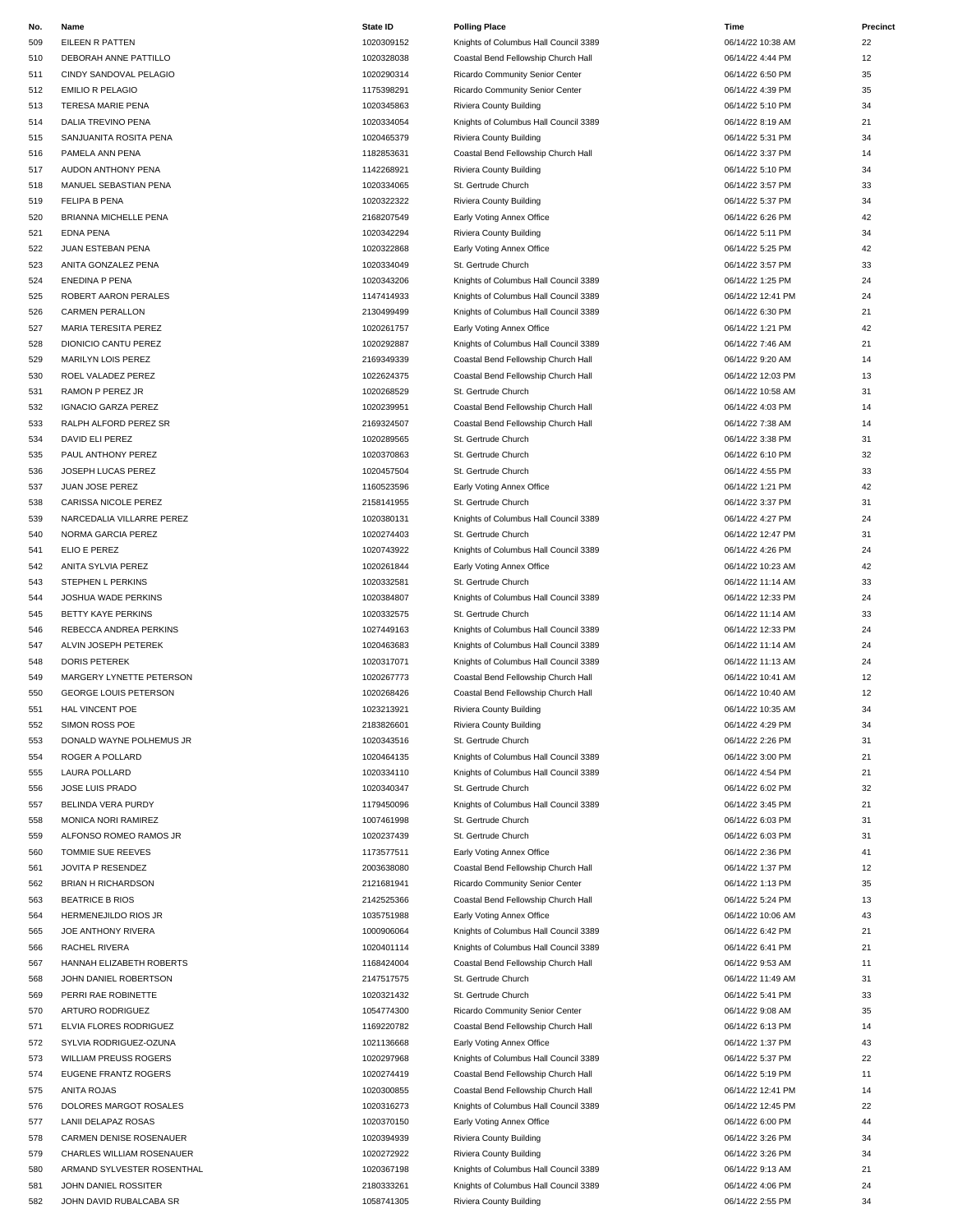| No. | Name                         | <b>State ID</b> | <b>Polling Place</b>                  | Time              | Precinct |
|-----|------------------------------|-----------------|---------------------------------------|-------------------|----------|
| 509 | EILEEN R PATTEN              | 1020309152      | Knights of Columbus Hall Council 3389 | 06/14/22 10:38 AM | 22       |
| 510 | DEBORAH ANNE PATTILLO        | 1020328038      | Coastal Bend Fellowship Church Hall   | 06/14/22 4:44 PM  | 12       |
| 511 | CINDY SANDOVAL PELAGIO       | 1020290314      | Ricardo Community Senior Center       | 06/14/22 6:50 PM  | 35       |
| 512 | <b>EMILIO R PELAGIO</b>      | 1175398291      | Ricardo Community Senior Center       | 06/14/22 4:39 PM  | 35       |
| 513 | TERESA MARIE PENA            | 1020345863      | Riviera County Building               | 06/14/22 5:10 PM  | 34       |
| 514 | DALIA TREVINO PENA           | 1020334054      | Knights of Columbus Hall Council 3389 | 06/14/22 8:19 AM  | 21       |
| 515 | SANJUANITA ROSITA PENA       | 1020465379      | Riviera County Building               | 06/14/22 5:31 PM  | 34       |
| 516 | PAMELA ANN PENA              | 1182853631      | Coastal Bend Fellowship Church Hall   | 06/14/22 3:37 PM  | 14       |
| 517 | AUDON ANTHONY PENA           | 1142268921      | Riviera County Building               | 06/14/22 5:10 PM  | 34       |
| 518 | MANUEL SEBASTIAN PENA        | 1020334065      | St. Gertrude Church                   | 06/14/22 3:57 PM  | 33       |
| 519 | FELIPA B PENA                | 1020322322      | Riviera County Building               | 06/14/22 5:37 PM  | 34       |
| 520 | BRIANNA MICHELLE PENA        | 2168207549      | Early Voting Annex Office             | 06/14/22 6:26 PM  | 42       |
| 521 | <b>EDNA PENA</b>             | 1020342294      | Riviera County Building               | 06/14/22 5:11 PM  | 34       |
| 522 | JUAN ESTEBAN PENA            | 1020322868      | Early Voting Annex Office             | 06/14/22 5:25 PM  | 42       |
| 523 | ANITA GONZALEZ PENA          | 1020334049      | St. Gertrude Church                   | 06/14/22 3:57 PM  | 33       |
| 524 | ENEDINA P PENA               | 1020343206      | Knights of Columbus Hall Council 3389 | 06/14/22 1:25 PM  | 24       |
| 525 | ROBERT AARON PERALES         | 1147414933      | Knights of Columbus Hall Council 3389 | 06/14/22 12:41 PM | 24       |
| 526 | <b>CARMEN PERALLON</b>       | 2130499499      | Knights of Columbus Hall Council 3389 | 06/14/22 6:30 PM  | 21       |
| 527 | MARIA TERESITA PEREZ         | 1020261757      | Early Voting Annex Office             | 06/14/22 1:21 PM  | 42       |
| 528 | DIONICIO CANTU PEREZ         | 1020292887      | Knights of Columbus Hall Council 3389 | 06/14/22 7:46 AM  | 21       |
| 529 | MARILYN LOIS PEREZ           | 2169349339      | Coastal Bend Fellowship Church Hall   | 06/14/22 9:20 AM  | 14       |
| 530 | ROEL VALADEZ PEREZ           | 1022624375      | Coastal Bend Fellowship Church Hall   | 06/14/22 12:03 PM | 13       |
| 531 | RAMON P PEREZ JR             | 1020268529      | St. Gertrude Church                   | 06/14/22 10:58 AM | 31       |
| 532 | <b>IGNACIO GARZA PEREZ</b>   | 1020239951      | Coastal Bend Fellowship Church Hall   | 06/14/22 4:03 PM  | 14       |
| 533 | RALPH ALFORD PEREZ SR        | 2169324507      | Coastal Bend Fellowship Church Hall   | 06/14/22 7:38 AM  | 14       |
| 534 | DAVID ELI PEREZ              | 1020289565      | St. Gertrude Church                   | 06/14/22 3:38 PM  | 31       |
| 535 | PAUL ANTHONY PEREZ           | 1020370863      | St. Gertrude Church                   | 06/14/22 6:10 PM  | 32       |
| 536 | JOSEPH LUCAS PEREZ           | 1020457504      | St. Gertrude Church                   | 06/14/22 4:55 PM  | 33       |
| 537 | JUAN JOSE PEREZ              | 1160523596      | Early Voting Annex Office             | 06/14/22 1:21 PM  | 42       |
| 538 | CARISSA NICOLE PEREZ         | 2158141955      | St. Gertrude Church                   | 06/14/22 3:37 PM  | 31       |
| 539 | NARCEDALIA VILLARRE PEREZ    | 1020380131      | Knights of Columbus Hall Council 3389 | 06/14/22 4:27 PM  | 24       |
| 540 | NORMA GARCIA PEREZ           | 1020274403      | St. Gertrude Church                   | 06/14/22 12:47 PM | 31       |
|     | ELIO E PEREZ                 | 1020743922      | Knights of Columbus Hall Council 3389 | 06/14/22 4:26 PM  | 24       |
| 541 |                              | 1020261844      |                                       | 06/14/22 10:23 AM | 42       |
| 542 | ANITA SYLVIA PEREZ           |                 | Early Voting Annex Office             |                   |          |
| 543 | STEPHEN L PERKINS            | 1020332581      | St. Gertrude Church                   | 06/14/22 11:14 AM | 33       |
| 544 | JOSHUA WADE PERKINS          | 1020384807      | Knights of Columbus Hall Council 3389 | 06/14/22 12:33 PM | 24       |
| 545 | BETTY KAYE PERKINS           | 1020332575      | St. Gertrude Church                   | 06/14/22 11:14 AM | 33       |
| 546 | REBECCA ANDREA PERKINS       | 1027449163      | Knights of Columbus Hall Council 3389 | 06/14/22 12:33 PM | 24       |
| 547 | ALVIN JOSEPH PETEREK         | 1020463683      | Knights of Columbus Hall Council 3389 | 06/14/22 11:14 AM | 24       |
| 548 | DORIS PETEREK                | 1020317071      | Knights of Columbus Hall Council 3389 | 06/14/22 11:13 AM | 24       |
| 549 | MARGERY LYNETTE PETERSON     | 1020267773      | Coastal Bend Fellowship Church Hall   | 06/14/22 10:41 AM | 12       |
| 550 | <b>GEORGE LOUIS PETERSON</b> | 1020268426      | Coastal Bend Fellowship Church Hall   | 06/14/22 10:40 AM | 12       |
| 551 | <b>HAL VINCENT POE</b>       | 1023213921      | Riviera County Building               | 06/14/22 10:35 AM | 34       |
| 552 | SIMON ROSS POE               | 2183826601      | Riviera County Building               | 06/14/22 4:29 PM  | 34       |
| 553 | DONALD WAYNE POLHEMUS JR     | 1020343516      | St. Gertrude Church                   | 06/14/22 2:26 PM  | 31       |
| 554 | ROGER A POLLARD              | 1020464135      | Knights of Columbus Hall Council 3389 | 06/14/22 3:00 PM  | 21       |
| 555 | LAURA POLLARD                | 1020334110      | Knights of Columbus Hall Council 3389 | 06/14/22 4:54 PM  | 21       |
| 556 | JOSE LUIS PRADO              | 1020340347      | St. Gertrude Church                   | 06/14/22 6:02 PM  | 32       |
| 557 | BELINDA VERA PURDY           | 1179450096      | Knights of Columbus Hall Council 3389 | 06/14/22 3:45 PM  | 21       |
| 558 | MONICA NORI RAMIREZ          | 1007461998      | St. Gertrude Church                   | 06/14/22 6:03 PM  | 31       |
| 559 | ALFONSO ROMEO RAMOS JR       | 1020237439      | St. Gertrude Church                   | 06/14/22 6:03 PM  | 31       |
| 560 | TOMMIE SUE REEVES            | 1173577511      | Early Voting Annex Office             | 06/14/22 2:36 PM  | 41       |
| 561 | JOVITA P RESENDEZ            | 2003638080      | Coastal Bend Fellowship Church Hall   | 06/14/22 1:37 PM  | 12       |
| 562 | <b>BRIAN H RICHARDSON</b>    | 2121681941      | Ricardo Community Senior Center       | 06/14/22 1:13 PM  | 35       |
| 563 | <b>BEATRICE B RIOS</b>       | 2142525366      | Coastal Bend Fellowship Church Hall   | 06/14/22 5:24 PM  | 13       |
| 564 | HERMENEJILDO RIOS JR         | 1035751988      | Early Voting Annex Office             | 06/14/22 10:06 AM | 43       |
| 565 | JOE ANTHONY RIVERA           | 1000906064      | Knights of Columbus Hall Council 3389 | 06/14/22 6:42 PM  | 21       |
| 566 | RACHEL RIVERA                | 1020401114      | Knights of Columbus Hall Council 3389 | 06/14/22 6:41 PM  | 21       |
| 567 | HANNAH ELIZABETH ROBERTS     | 1168424004      | Coastal Bend Fellowship Church Hall   | 06/14/22 9:53 AM  | 11       |
| 568 | JOHN DANIEL ROBERTSON        | 2147517575      | St. Gertrude Church                   | 06/14/22 11:49 AM | 31       |
| 569 | PERRI RAE ROBINETTE          | 1020321432      | St. Gertrude Church                   | 06/14/22 5:41 PM  | 33       |
| 570 | ARTURO RODRIGUEZ             | 1054774300      | Ricardo Community Senior Center       | 06/14/22 9:08 AM  | 35       |
| 571 | ELVIA FLORES RODRIGUEZ       | 1169220782      | Coastal Bend Fellowship Church Hall   | 06/14/22 6:13 PM  | 14       |
| 572 | SYLVIA RODRIGUEZ-OZUNA       | 1021136668      | Early Voting Annex Office             | 06/14/22 1:37 PM  | 43       |
| 573 | <b>WILLIAM PREUSS ROGERS</b> | 1020297968      | Knights of Columbus Hall Council 3389 | 06/14/22 5:37 PM  | 22       |
| 574 | EUGENE FRANTZ ROGERS         | 1020274419      | Coastal Bend Fellowship Church Hall   | 06/14/22 5:19 PM  | 11       |
| 575 | ANITA ROJAS                  | 1020300855      | Coastal Bend Fellowship Church Hall   | 06/14/22 12:41 PM | 14       |
| 576 | DOLORES MARGOT ROSALES       | 1020316273      | Knights of Columbus Hall Council 3389 | 06/14/22 12:45 PM | 22       |
| 577 | LANII DELAPAZ ROSAS          | 1020370150      | Early Voting Annex Office             | 06/14/22 6:00 PM  | 44       |
| 578 | CARMEN DENISE ROSENAUER      | 1020394939      | Riviera County Building               | 06/14/22 3:26 PM  | 34       |
| 579 | CHARLES WILLIAM ROSENAUER    | 1020272922      | Riviera County Building               | 06/14/22 3:26 PM  | 34       |
| 580 | ARMAND SYLVESTER ROSENTHAL   | 1020367198      | Knights of Columbus Hall Council 3389 | 06/14/22 9:13 AM  | 21       |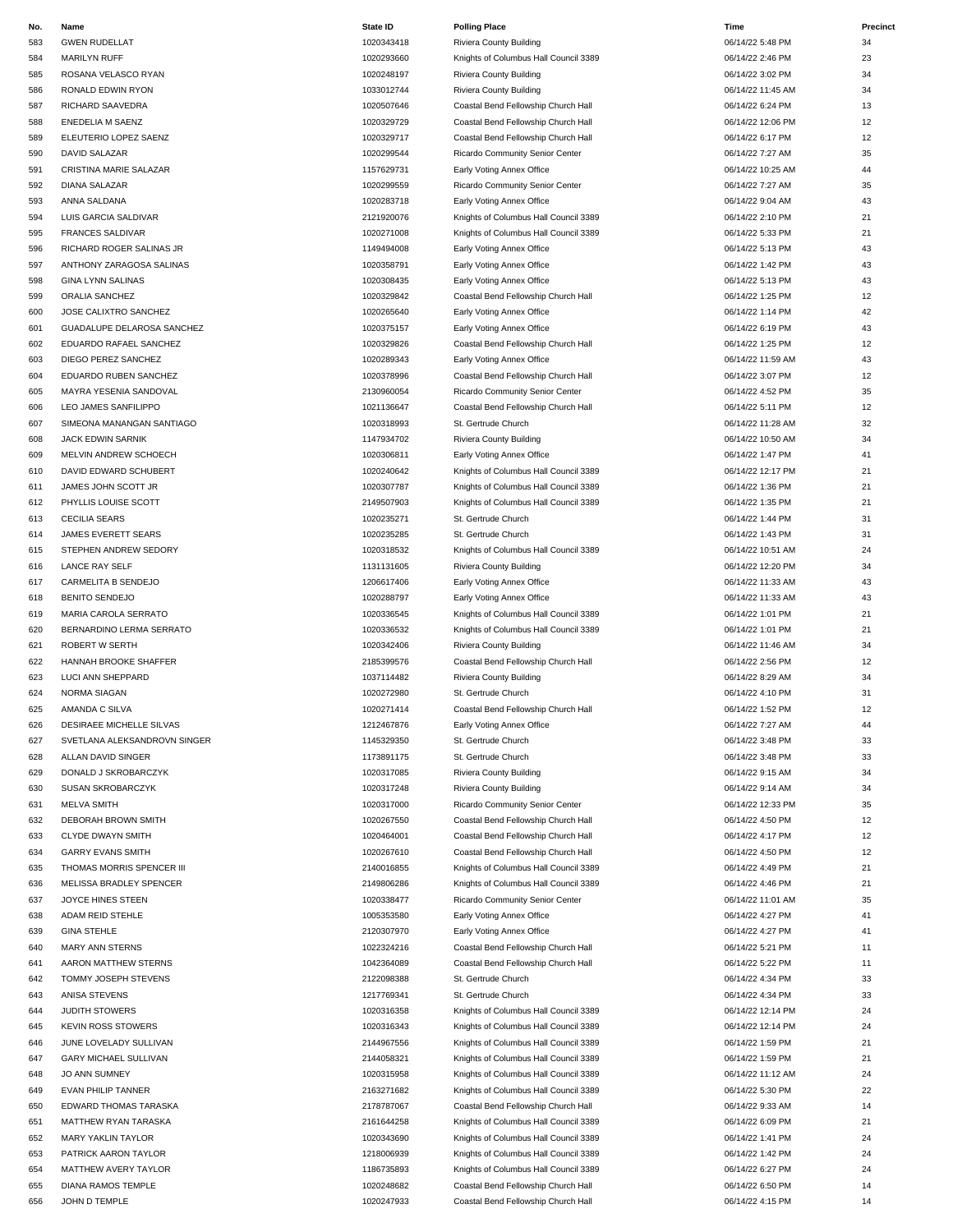| IVU. |                              | <b>State IL</b> | Poling Place                          | пше               |                  |
|------|------------------------------|-----------------|---------------------------------------|-------------------|------------------|
| 583  | <b>GWEN RUDELLAT</b>         | 1020343418      | Riviera County Building               | 06/14/22 5:48 PM  | 34               |
| 584  | MARILYN RUFF                 | 1020293660      | Knights of Columbus Hall Council 3389 | 06/14/22 2:46 PM  | 23               |
| 585  | ROSANA VELASCO RYAN          | 1020248197      | Riviera County Building               | 06/14/22 3:02 PM  | 34               |
| 586  | RONALD EDWIN RYON            | 1033012744      | Riviera County Building               | 06/14/22 11:45 AM | 34               |
|      |                              |                 |                                       |                   |                  |
| 587  | RICHARD SAAVEDRA             | 1020507646      | Coastal Bend Fellowship Church Hall   | 06/14/22 6:24 PM  | 13               |
| 588  | ENEDELIA M SAENZ             | 1020329729      | Coastal Bend Fellowship Church Hall   | 06/14/22 12:06 PM | 12               |
| 589  | ELEUTERIO LOPEZ SAENZ        | 1020329717      | Coastal Bend Fellowship Church Hall   | 06/14/22 6:17 PM  | 12               |
| 590  | DAVID SALAZAR                | 1020299544      | Ricardo Community Senior Center       | 06/14/22 7:27 AM  | 35               |
| 591  | CRISTINA MARIE SALAZAR       | 1157629731      | Early Voting Annex Office             | 06/14/22 10:25 AM | 44               |
| 592  | <b>DIANA SALAZAR</b>         | 1020299559      | Ricardo Community Senior Center       | 06/14/22 7:27 AM  | 35               |
| 593  | ANNA SALDANA                 | 1020283718      | Early Voting Annex Office             | 06/14/22 9:04 AM  | 43               |
|      |                              |                 |                                       |                   |                  |
| 594  | LUIS GARCIA SALDIVAR         | 2121920076      | Knights of Columbus Hall Council 3389 | 06/14/22 2:10 PM  | 21               |
| 595  | <b>FRANCES SALDIVAR</b>      | 1020271008      | Knights of Columbus Hall Council 3389 | 06/14/22 5:33 PM  | 21               |
| 596  | RICHARD ROGER SALINAS JR     | 1149494008      | Early Voting Annex Office             | 06/14/22 5:13 PM  | 43               |
| 597  | ANTHONY ZARAGOSA SALINAS     | 1020358791      | Early Voting Annex Office             | 06/14/22 1:42 PM  | 43               |
| 598  | <b>GINA LYNN SALINAS</b>     | 1020308435      | Early Voting Annex Office             | 06/14/22 5:13 PM  | 43               |
| 599  | ORALIA SANCHEZ               | 1020329842      | Coastal Bend Fellowship Church Hall   | 06/14/22 1:25 PM  | 12               |
| 600  | JOSE CALIXTRO SANCHEZ        | 1020265640      | Early Voting Annex Office             | 06/14/22 1:14 PM  | 42               |
|      |                              |                 |                                       |                   |                  |
| 601  | GUADALUPE DELAROSA SANCHEZ   | 1020375157      | Early Voting Annex Office             | 06/14/22 6:19 PM  | 43               |
| 602  | EDUARDO RAFAEL SANCHEZ       | 1020329826      | Coastal Bend Fellowship Church Hall   | 06/14/22 1:25 PM  | 12               |
| 603  | DIEGO PEREZ SANCHEZ          | 1020289343      | Early Voting Annex Office             | 06/14/22 11:59 AM | 43               |
| 604  | EDUARDO RUBEN SANCHEZ        | 1020378996      | Coastal Bend Fellowship Church Hall   | 06/14/22 3:07 PM  | 12               |
| 605  | MAYRA YESENIA SANDOVAL       | 2130960054      | Ricardo Community Senior Center       | 06/14/22 4:52 PM  | 35               |
| 606  | LEO JAMES SANFILIPPO         | 1021136647      | Coastal Bend Fellowship Church Hall   | 06/14/22 5:11 PM  | 12               |
|      |                              |                 | St. Gertrude Church                   | 06/14/22 11:28 AM | 32               |
| 607  | SIMEONA MANANGAN SANTIAGO    | 1020318993      |                                       |                   |                  |
| 608  | JACK EDWIN SARNIK            | 1147934702      | Riviera County Building               | 06/14/22 10:50 AM | 34               |
| 609  | MELVIN ANDREW SCHOECH        | 1020306811      | Early Voting Annex Office             | 06/14/22 1:47 PM  | 41               |
| 610  | DAVID EDWARD SCHUBERT        | 1020240642      | Knights of Columbus Hall Council 3389 | 06/14/22 12:17 PM | 21               |
| 611  | JAMES JOHN SCOTT JR          | 1020307787      | Knights of Columbus Hall Council 3389 | 06/14/22 1:36 PM  | 21               |
| 612  | PHYLLIS LOUISE SCOTT         | 2149507903      | Knights of Columbus Hall Council 3389 | 06/14/22 1:35 PM  | 21               |
| 613  | <b>CECILIA SEARS</b>         | 1020235271      | St. Gertrude Church                   | 06/14/22 1:44 PM  | 31               |
|      |                              |                 |                                       |                   |                  |
| 614  | JAMES EVERETT SEARS          | 1020235285      | St. Gertrude Church                   | 06/14/22 1:43 PM  | 31               |
| 615  | STEPHEN ANDREW SEDORY        | 1020318532      | Knights of Columbus Hall Council 3389 | 06/14/22 10:51 AM | 24               |
| 616  | LANCE RAY SELF               | 1131131605      | Riviera County Building               | 06/14/22 12:20 PM | 34               |
| 617  | CARMELITA B SENDEJO          | 1206617406      | Early Voting Annex Office             | 06/14/22 11:33 AM | 43               |
| 618  | <b>BENITO SENDEJO</b>        | 1020288797      | Early Voting Annex Office             | 06/14/22 11:33 AM | 43               |
| 619  | MARIA CAROLA SERRATO         | 1020336545      | Knights of Columbus Hall Council 3389 | 06/14/22 1:01 PM  | 21               |
| 620  | BERNARDINO LERMA SERRATO     | 1020336532      | Knights of Columbus Hall Council 3389 | 06/14/22 1:01 PM  | 21               |
|      |                              |                 |                                       |                   |                  |
| 621  | ROBERT W SERTH               | 1020342406      | Riviera County Building               | 06/14/22 11:46 AM | 34               |
| 622  | HANNAH BROOKE SHAFFER        | 2185399576      | Coastal Bend Fellowship Church Hall   | 06/14/22 2:56 PM  | 12               |
| 623  | LUCI ANN SHEPPARD            | 1037114482      | Riviera County Building               | 06/14/22 8:29 AM  | 34               |
| 624  | <b>NORMA SIAGAN</b>          | 1020272980      | St. Gertrude Church                   | 06/14/22 4:10 PM  | 31               |
| 625  | AMANDA C SILVA               | 1020271414      | Coastal Bend Fellowship Church Hall   | 06/14/22 1:52 PM  | 12               |
| 626  | DESIRAEE MICHELLE SILVAS     | 1212467876      | Early Voting Annex Office             | 06/14/22 7:27 AM  | $\Lambda\Lambda$ |
| 627  | SVETLANA ALEKSANDROVN SINGER | 1145329350      | St. Gertrude Church                   | 06/14/22 3:48 PM  | 33               |
|      |                              |                 |                                       |                   |                  |
| 628  | ALLAN DAVID SINGER           | 1173891175      | St. Gertrude Church                   | 06/14/22 3:48 PM  | 33               |
| 629  | DONALD J SKROBARCZYK         | 1020317085      | Riviera County Building               | 06/14/22 9:15 AM  | 34               |
| 630  | SUSAN SKROBARCZYK            | 1020317248      | Riviera County Building               | 06/14/22 9:14 AM  | 34               |
| 631  | <b>MELVA SMITH</b>           | 1020317000      | Ricardo Community Senior Center       | 06/14/22 12:33 PM | 35               |
| 632  | DEBORAH BROWN SMITH          | 1020267550      | Coastal Bend Fellowship Church Hall   | 06/14/22 4:50 PM  | 12               |
| 633  | CLYDE DWAYN SMITH            | 1020464001      | Coastal Bend Fellowship Church Hall   | 06/14/22 4:17 PM  | 12               |
| 634  | <b>GARRY EVANS SMITH</b>     | 1020267610      | Coastal Bend Fellowship Church Hall   | 06/14/22 4:50 PM  | 12               |
|      |                              |                 |                                       |                   |                  |
| 635  | THOMAS MORRIS SPENCER III    | 2140016855      | Knights of Columbus Hall Council 3389 | 06/14/22 4:49 PM  | 21               |
| 636  | MELISSA BRADLEY SPENCER      | 2149806286      | Knights of Columbus Hall Council 3389 | 06/14/22 4:46 PM  | 21               |
| 637  | JOYCE HINES STEEN            | 1020338477      | Ricardo Community Senior Center       | 06/14/22 11:01 AM | 35               |
| 638  | ADAM REID STEHLE             | 1005353580      | Early Voting Annex Office             | 06/14/22 4:27 PM  | 41               |
| 639  | <b>GINA STEHLE</b>           | 2120307970      | Early Voting Annex Office             | 06/14/22 4:27 PM  | 41               |
| 640  | MARY ANN STERNS              | 1022324216      | Coastal Bend Fellowship Church Hall   | 06/14/22 5:21 PM  | 11               |
| 641  | AARON MATTHEW STERNS         | 1042364089      | Coastal Bend Fellowship Church Hall   | 06/14/22 5:22 PM  | 11               |
|      |                              |                 |                                       |                   |                  |
| 642  | TOMMY JOSEPH STEVENS         | 2122098388      | St. Gertrude Church                   | 06/14/22 4:34 PM  | 33               |
| 643  | ANISA STEVENS                | 1217769341      | St. Gertrude Church                   | 06/14/22 4:34 PM  | 33               |
| 644  | JUDITH STOWERS               | 1020316358      | Knights of Columbus Hall Council 3389 | 06/14/22 12:14 PM | 24               |
| 645  | <b>KEVIN ROSS STOWERS</b>    | 1020316343      | Knights of Columbus Hall Council 3389 | 06/14/22 12:14 PM | 24               |
| 646  | JUNE LOVELADY SULLIVAN       | 2144967556      | Knights of Columbus Hall Council 3389 | 06/14/22 1:59 PM  | 21               |
| 647  | GARY MICHAEL SULLIVAN        | 2144058321      | Knights of Columbus Hall Council 3389 | 06/14/22 1:59 PM  | 21               |
| 648  | <b>JO ANN SUMNEY</b>         | 1020315958      | Knights of Columbus Hall Council 3389 | 06/14/22 11:12 AM | 24               |
|      |                              |                 |                                       |                   |                  |
| 649  | EVAN PHILIP TANNER           | 2163271682      | Knights of Columbus Hall Council 3389 | 06/14/22 5:30 PM  | 22               |
| 650  | EDWARD THOMAS TARASKA        | 2178787067      | Coastal Bend Fellowship Church Hall   | 06/14/22 9:33 AM  | 14               |
| 651  | MATTHEW RYAN TARASKA         | 2161644258      | Knights of Columbus Hall Council 3389 | 06/14/22 6:09 PM  | 21               |
| 652  | MARY YAKLIN TAYLOR           | 1020343690      | Knights of Columbus Hall Council 3389 | 06/14/22 1:41 PM  | 24               |
| 653  | PATRICK AARON TAYLOR         | 1218006939      | Knights of Columbus Hall Council 3389 | 06/14/22 1:42 PM  | 24               |
| 654  | MATTHEW AVERY TAYLOR         | 1186735893      | Knights of Columbus Hall Council 3389 | 06/14/22 6:27 PM  | 24               |
| 655  | DIANA RAMOS TEMPLE           | 1020248682      | Coastal Bend Fellowship Church Hall   | 06/14/22 6:50 PM  | 14               |

 MARILYN RUFF 1020293660 Knights of Columbus Hall Council 3389 06/14/22 2:46 PM 23 RICHARD SAAVEDRA 1020507646 Coastal Bend Fellowship Church Hall 06/14/22 6:24 PM 13 ENEDELIA M SAENZ 1020329729 Coastal Bend Fellowship Church Hall 06/14/22 12:06 PM 12 ELEUTERIO LOPEZ SAENZ 1020329717 Coastal Bend Fellowship Church Hall 06/14/22 6:17 PM 12 DAVID SALAZAR 1020299544 Ricardo Community Senior Center 06/14/22 7:27 AM 35 DIANA SALAZAR 1020299559 Ricardo Community Senior Center 06/14/22 7:27 AM 35 ANNA SALDANA 1020283718 Early Voting Annex Office 06/14/22 9:04 AM 43 LUIS GARCIA SALDIVAR 2121920076 Knights of Columbus Hall Council 3389 06/14/22 2:10 PM 21 FRANCES SALDIVAR 1020271008 Knights of Columbus Hall Council 3389 06/14/22 5:33 PM 21 5:13 PM Early Voting Annex Office 6 and 500 annual 1149494008 control and 43 ANTHONY ZARAGOSA SALINAS 1020358791 Early Voting Annex Office 06/14/22 1:42 PM 43 ORALIA SANCHEZ 1020329842 Coastal Bend Fellowship Church Hall 06/14/22 1:25 PM 12 JOSE CALIXTRO SANCHEZ 1020265640 Early Voting Annex Office 06/14/22 1:14 PM 42 1020375157 Early Voting Annex Office 2012 1020375157 66/14/22 6:19 PM 43 EDUARDO RAFAEL SANCHEZ 1020329826 Coastal Bend Fellowship Church Hall 06/14/22 1:25 PM 12 EDUARDO RUBEN SANCHEZ 1020378996 Coastal Bend Fellowship Church Hall 06/14/22 3:07 PM 12 2130960054 Ricardo Community Senior Center **Canada Ayer 2130960054** 06/14/22 4:52 PM 35 LEO JAMES SANFILIPPO 1021136647 Coastal Bend Fellowship Church Hall 06/14/22 5:11 PM 12 1147934702 Riviera County Building **1147934702** 06/14/22 10:50 AM 34 1020306811 Early Voting Annex Office 108/14/22 1:47 PM 41 DAVID EDWARD SCHUBERT 1020240642 Knights of Columbus Hall Council 3389 06/14/22 12:17 PM 21 1020307787 Knights of Columbus Hall Council 3389 06/14/22 1:36 PM 21 PHYLLIS LOUISE SCOTT 2149507903 Knights of Columbus Hall Council 3389 06/14/22 1:35 PM 21 STEPHEN ANDREW SEDORY 1020318532 Knights of Columbus Hall Council 3389 06/14/22 10:51 AM 24 1131131605 Riviera County Building 1131131605 Riviera County Building 12:20 PM 34 1206617406 Early Voting Annex Office **CARMELITA B SENDEPT 1206617406 CARMELITA B GMS** 43 MARIA CAROLA SERRATO 1020336545 Knights of Columbus Hall Council 3389 06/14/22 1:01 PM 21 BERNARDINO LERMA SERRATO 1020336532 Knights of Columbus Hall Council 3389 06/14/22 1:01 PM 21 1020342406 Riviera County Building **Riviera County Building Contact County Building Contact County Building Contact County Building Contact County Building Contact County Building Contact County Building Cont**  HANNAH BROOKE SHAFFER 2185399576 Coastal Bend Fellowship Church Hall 06/14/22 2:56 PM 12 LUCI ANN SHEPPARD 1037114482 Riviera County Building 06/14/22 8:29 AM 34 1020271414 Coastal Bend Fellowship Church Hall 06/14/22 1:52 PM 12 1020317085 Riviera County Building 1020317085 Riviera County Building 1020317085 RM 1020317248 Riviera County Building **COUNTY RIVIER 1020317248** Riviera County Building **1020317248** 134 1020317000 Ricardo Community Senior Center 06/14/22 12:33 PM 35 DEBORAH BROWN SMITH 1020267550 Coastal Bend Fellowship Church Hall 06/14/22 4:50 PM 12 1020464001 Coastal Bend Fellowship Church Hall 06/14/22 4:17 PM 12 GARRY EVANS SMITH 1020267610 Coastal Bend Fellowship Church Hall 06/14/22 4:50 PM 12 THOMAS MORRIS SPENCER III 2140016855 Knights of Columbus Hall Council 3389 06/14/22 4:49 PM 21 2149806286 Knights of Columbus Hall Council 3389 06/14/22 4:46 PM 21 1020338477 Ricardo Community Senior Center 1020338477 Ricardo Community Senior Center 106/14/22 11:01 AM 35 ADAM REID STEHLE 1005353580 Early Voting Annex Office 06/14/22 4:27 PM 41 2120307970 Early Voting Annex Office **Canadian Step 2120307970 Early Voting Annex Office** 06/14/22 4:27 PM 41 MARY ANN STERNS 1022324216 Coastal Bend Fellowship Church Hall 06/14/22 5:21 PM 11 AARON MATTHEW STERNS 1042364089 Coastal Bend Fellowship Church Hall 06/14/22 5:22 PM 11 1020316358 Knights of Columbus Hall Council 3389 06/14/22 12:14 PM 24 1020316343 Knights of Columbus Hall Council 3389 06/14/22 12:14 PM 24 2144967556 Knights of Columbus Hall Council 3389 06/14/22 1:59 PM 21 GARY MICHAEL SULLIVAN 2144058321 Knights of Columbus Hall Council 3389 06/14/22 1:59 PM 21 JO ANN SUMNEY 1020315958 Knights of Columbus Hall Council 3389 06/14/22 11:12 AM 24 EVAN PHILIP TANNER 2163271682 Knights of Columbus Hall Council 3389 06/14/22 5:30 PM 22 EDWARD THOMAS TARASKA 2178787067 Coastal Bend Fellowship Church Hall 06/14/22 9:33 AM 14 MATTHEW RYAN TARASKA 2161644258 Knights of Columbus Hall Council 3389 06/14/22 6:09 PM 21 **Knights of Columbus Hall Council 3389** 06/14/22 1:42 PM 24 MATTHEW AVERY TAYLOR 1186735893 Knights of Columbus Hall Council 3389 06/14/22 6:27 PM 24 DIANA RAMOS TEMPLE 1020248682 Coastal Bend Fellowship Church Hall 06/14/22 6:50 PM 14 656 JOHN D TEMPLE 2002 1020247933 Coastal Bend Fellowship Church Hall 06/14/22 4:15 PM 14 **No. Name State ID Polling Place Time Precinct**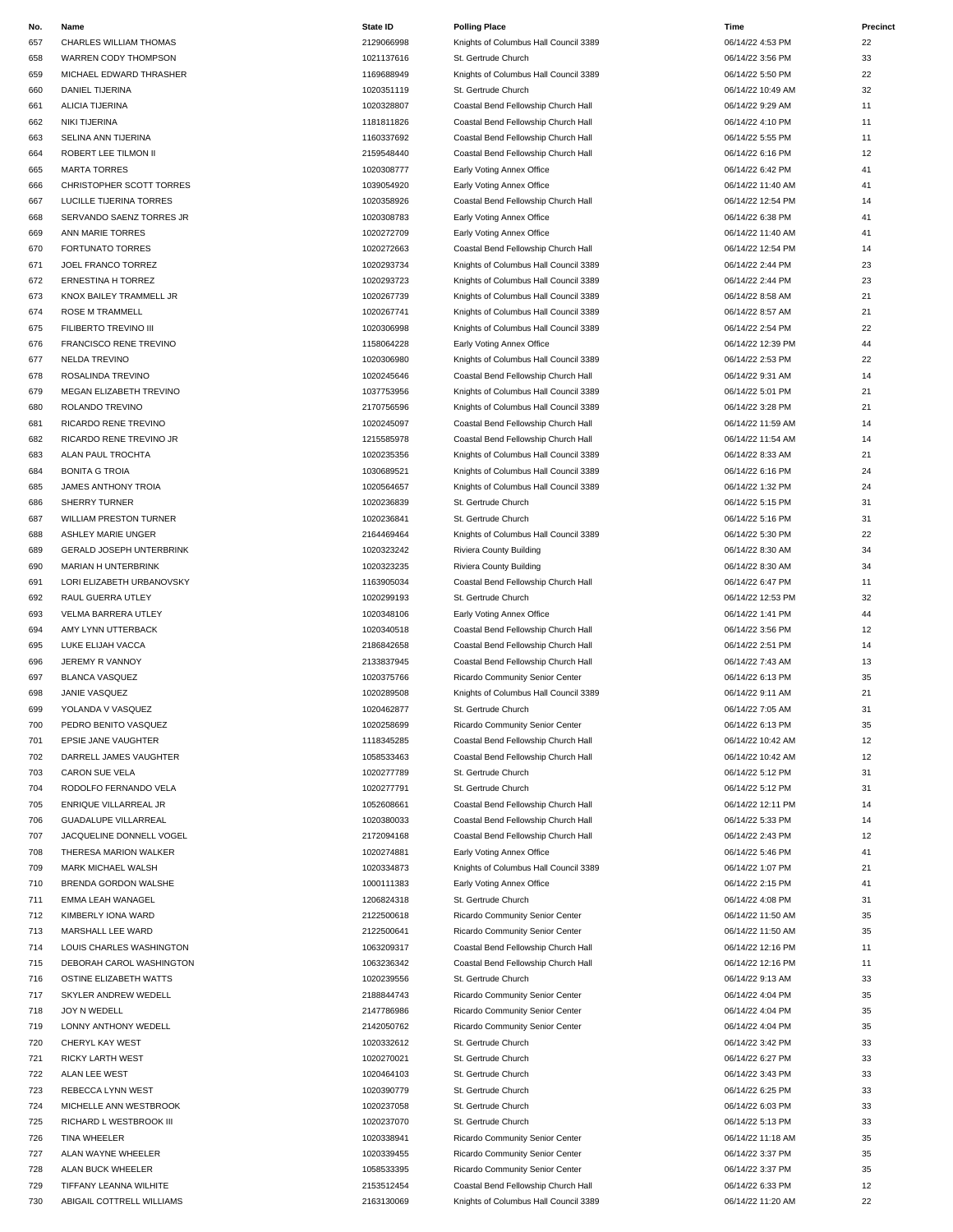| No. | Name                          | <b>State ID</b> | <b>Polling Place</b>                  | Time              | Precinct |
|-----|-------------------------------|-----------------|---------------------------------------|-------------------|----------|
| 657 | <b>CHARLES WILLIAM THOMAS</b> | 2129066998      | Knights of Columbus Hall Council 3389 | 06/14/22 4:53 PM  | 22       |
| 658 | WARREN CODY THOMPSON          | 1021137616      | St. Gertrude Church                   | 06/14/22 3:56 PM  | 33       |
| 659 | MICHAEL EDWARD THRASHER       | 1169688949      | Knights of Columbus Hall Council 3389 | 06/14/22 5:50 PM  | 22       |
| 660 | DANIEL TIJERINA               | 1020351119      | St. Gertrude Church                   | 06/14/22 10:49 AM | 32       |
| 661 | ALICIA TIJERINA               | 1020328807      | Coastal Bend Fellowship Church Hall   | 06/14/22 9:29 AM  | 11       |
| 662 | NIKI TIJERINA                 | 1181811826      | Coastal Bend Fellowship Church Hall   | 06/14/22 4:10 PM  | 11       |
| 663 | SELINA ANN TIJERINA           | 1160337692      | Coastal Bend Fellowship Church Hall   | 06/14/22 5:55 PM  | 11       |
| 664 | ROBERT LEE TILMON II          | 2159548440      | Coastal Bend Fellowship Church Hall   | 06/14/22 6:16 PM  | 12       |
| 665 | <b>MARTA TORRES</b>           | 1020308777      | Early Voting Annex Office             | 06/14/22 6:42 PM  | 41       |
| 666 | CHRISTOPHER SCOTT TORRES      | 1039054920      | Early Voting Annex Office             | 06/14/22 11:40 AM | 41       |
| 667 | LUCILLE TIJERINA TORRES       | 1020358926      | Coastal Bend Fellowship Church Hall   | 06/14/22 12:54 PM | 14       |
| 668 | SERVANDO SAENZ TORRES JR      | 1020308783      | Early Voting Annex Office             | 06/14/22 6:38 PM  | 41       |
| 669 | ANN MARIE TORRES              | 1020272709      | Early Voting Annex Office             | 06/14/22 11:40 AM | 41       |
| 670 | <b>FORTUNATO TORRES</b>       | 1020272663      | Coastal Bend Fellowship Church Hall   | 06/14/22 12:54 PM | 14       |
| 671 | JOEL FRANCO TORREZ            | 1020293734      | Knights of Columbus Hall Council 3389 | 06/14/22 2:44 PM  | 23       |
| 672 | ERNESTINA H TORREZ            | 1020293723      | Knights of Columbus Hall Council 3389 | 06/14/22 2:44 PM  | 23       |
| 673 | KNOX BAILEY TRAMMELL JR       | 1020267739      | Knights of Columbus Hall Council 3389 | 06/14/22 8:58 AM  | 21       |
| 674 | ROSE M TRAMMELL               | 1020267741      | Knights of Columbus Hall Council 3389 | 06/14/22 8:57 AM  | 21       |
| 675 | FILIBERTO TREVINO III         | 1020306998      | Knights of Columbus Hall Council 3389 | 06/14/22 2:54 PM  | 22       |
| 676 | <b>FRANCISCO RENE TREVINO</b> | 1158064228      | Early Voting Annex Office             | 06/14/22 12:39 PM | 44       |
| 677 | <b>NELDA TREVINO</b>          | 1020306980      | Knights of Columbus Hall Council 3389 | 06/14/22 2:53 PM  | 22       |
| 678 | ROSALINDA TREVINO             | 1020245646      | Coastal Bend Fellowship Church Hall   | 06/14/22 9:31 AM  | 14       |
| 679 | MEGAN ELIZABETH TREVINO       | 1037753956      | Knights of Columbus Hall Council 3389 | 06/14/22 5:01 PM  | 21       |
| 680 | ROLANDO TREVINO               | 2170756596      | Knights of Columbus Hall Council 3389 | 06/14/22 3:28 PM  | 21       |
| 681 | RICARDO RENE TREVINO          | 1020245097      | Coastal Bend Fellowship Church Hall   | 06/14/22 11:59 AM | 14       |
| 682 | RICARDO RENE TREVINO JR       | 1215585978      | Coastal Bend Fellowship Church Hall   | 06/14/22 11:54 AM | 14       |
| 683 | ALAN PAUL TROCHTA             | 1020235356      | Knights of Columbus Hall Council 3389 | 06/14/22 8:33 AM  | 21       |
| 684 | <b>BONITA G TROIA</b>         | 1030689521      | Knights of Columbus Hall Council 3389 | 06/14/22 6:16 PM  | 24       |
| 685 | JAMES ANTHONY TROIA           | 1020564657      | Knights of Columbus Hall Council 3389 | 06/14/22 1:32 PM  | 24       |
| 686 | <b>SHERRY TURNER</b>          | 1020236839      | St. Gertrude Church                   | 06/14/22 5:15 PM  | 31       |
| 687 | <b>WILLIAM PRESTON TURNER</b> | 1020236841      | St. Gertrude Church                   | 06/14/22 5:16 PM  | 31       |
| 688 | ASHLEY MARIE UNGER            | 2164469464      | Knights of Columbus Hall Council 3389 | 06/14/22 5:30 PM  | 22       |
| 689 | GERALD JOSEPH UNTERBRINK      | 1020323242      | Riviera County Building               | 06/14/22 8:30 AM  | 34       |
| 690 | MARIAN H UNTERBRINK           | 1020323235      | Riviera County Building               | 06/14/22 8:30 AM  | 34       |
| 691 | LORI ELIZABETH URBANOVSKY     | 1163905034      | Coastal Bend Fellowship Church Hall   | 06/14/22 6:47 PM  | 11       |
| 692 | RAUL GUERRA UTLEY             | 1020299193      | St. Gertrude Church                   | 06/14/22 12:53 PM | 32       |
| 693 | VELMA BARRERA UTLEY           | 1020348106      | Early Voting Annex Office             | 06/14/22 1:41 PM  | 44       |
| 694 | AMY LYNN UTTERBACK            | 1020340518      | Coastal Bend Fellowship Church Hall   | 06/14/22 3:56 PM  | 12       |
| 695 | LUKE ELIJAH VACCA             | 2186842658      | Coastal Bend Fellowship Church Hall   | 06/14/22 2:51 PM  | 14       |
| 696 | JEREMY R VANNOY               | 2133837945      | Coastal Bend Fellowship Church Hall   | 06/14/22 7:43 AM  | 13       |
| 697 | <b>BLANCA VASQUEZ</b>         | 1020375766      | Ricardo Community Senior Center       | 06/14/22 6:13 PM  | 35       |
| 698 | JANIE VASQUEZ                 | 1020289508      | Knights of Columbus Hall Council 3389 | 06/14/22 9:11 AM  | 21       |
| 699 | YOLANDA V VASQUEZ             | 1020462877      | St. Gertrude Church                   | 06/14/22 7:05 AM  | 31       |
| 700 | PEDRO BENITO VASQUEZ          | 1020258699      | Ricardo Community Senior Center       | 06/14/22 6:13 PM  | 35       |
| 701 | EPSIE JANE VAUGHTER           | 1118345285      | Coastal Bend Fellowship Church Hall   | 06/14/22 10:42 AM | 12       |
| 702 | DARRELL JAMES VAUGHTER        | 1058533463      | Coastal Bend Fellowship Church Hall   | 06/14/22 10:42 AM | 12       |
| 703 | CARON SUE VELA                | 1020277789      | St. Gertrude Church                   | 06/14/22 5:12 PM  | 31       |
| 704 | RODOLFO FERNANDO VELA         | 1020277791      | St. Gertrude Church                   | 06/14/22 5:12 PM  | 31       |
| 705 | ENRIQUE VILLARREAL JR         | 1052608661      | Coastal Bend Fellowship Church Hall   | 06/14/22 12:11 PM | 14       |
| 706 | <b>GUADALUPE VILLARREAL</b>   | 1020380033      | Coastal Bend Fellowship Church Hall   | 06/14/22 5:33 PM  | 14       |
| 707 | JACQUELINE DONNELL VOGEL      | 2172094168      | Coastal Bend Fellowship Church Hall   | 06/14/22 2:43 PM  | 12       |
| 708 | THERESA MARION WALKER         | 1020274881      | Early Voting Annex Office             | 06/14/22 5:46 PM  | 41       |
| 709 | MARK MICHAEL WALSH            | 1020334873      | Knights of Columbus Hall Council 3389 | 06/14/22 1:07 PM  | 21       |
| 710 | BRENDA GORDON WALSHE          | 1000111383      | Early Voting Annex Office             | 06/14/22 2:15 PM  | 41       |
| 711 | EMMA LEAH WANAGEL             | 1206824318      | St. Gertrude Church                   | 06/14/22 4:08 PM  | 31       |
| 712 | KIMBERLY IONA WARD            | 2122500618      | Ricardo Community Senior Center       | 06/14/22 11:50 AM | 35       |
| 713 | MARSHALL LEE WARD             | 2122500641      | Ricardo Community Senior Center       | 06/14/22 11:50 AM | 35       |
| 714 | LOUIS CHARLES WASHINGTON      | 1063209317      | Coastal Bend Fellowship Church Hall   | 06/14/22 12:16 PM | 11       |
| 715 | DEBORAH CAROL WASHINGTON      | 1063236342      | Coastal Bend Fellowship Church Hall   | 06/14/22 12:16 PM | 11       |
| 716 | OSTINE ELIZABETH WATTS        | 1020239556      | St. Gertrude Church                   | 06/14/22 9:13 AM  | 33       |
| 717 | SKYLER ANDREW WEDELL          | 2188844743      | Ricardo Community Senior Center       | 06/14/22 4:04 PM  | 35       |
| 718 | JOY N WEDELL                  | 2147786986      | Ricardo Community Senior Center       | 06/14/22 4:04 PM  | 35       |
| 719 | LONNY ANTHONY WEDELL          | 2142050762      | Ricardo Community Senior Center       | 06/14/22 4:04 PM  | 35       |
| 720 | CHERYL KAY WEST               | 1020332612      | St. Gertrude Church                   | 06/14/22 3:42 PM  | 33       |
| 721 | RICKY LARTH WEST              | 1020270021      | St. Gertrude Church                   | 06/14/22 6:27 PM  | 33       |
| 722 | ALAN LEE WEST                 | 1020464103      | St. Gertrude Church                   | 06/14/22 3:43 PM  | 33       |
| 723 | REBECCA LYNN WEST             | 1020390779      | St. Gertrude Church                   | 06/14/22 6:25 PM  | 33       |
| 724 | MICHELLE ANN WESTBROOK        | 1020237058      | St. Gertrude Church                   | 06/14/22 6:03 PM  | 33       |
| 725 | RICHARD L WESTBROOK III       | 1020237070      | St. Gertrude Church                   | 06/14/22 5:13 PM  | 33       |
| 726 | TINA WHEELER                  | 1020338941      | Ricardo Community Senior Center       | 06/14/22 11:18 AM | 35       |
| 727 | ALAN WAYNE WHEELER            | 1020339455      | Ricardo Community Senior Center       | 06/14/22 3:37 PM  | 35       |
| 728 | ALAN BUCK WHEELER             | 1058533395      | Ricardo Community Senior Center       | 06/14/22 3:37 PM  | 35       |
| 729 | TIFFANY LEANNA WILHITE        | 2153512454      | Coastal Bend Fellowship Church Hall   | 06/14/22 6:33 PM  | 12       |

730 ABIGAIL COTTRELL WILLIAMS **2163130069** Knig

| <b>Polling Place</b>                  |
|---------------------------------------|
| Knights of Columbus Hall Council 3389 |
| St. Gertrude Church                   |
| Knights of Columbus Hall Council 3389 |
| St. Gertrude Church                   |
| Coastal Bend Fellowship Church Hall   |
| Coastal Bend Fellowship Church Hall   |
| Coastal Bend Fellowship Church Hall   |
| Coastal Bend Fellowship Church Hall   |
| Early Voting Annex Office             |
| Early Voting Annex Office             |
| Coastal Bend Fellowship Church Hall   |
| Early Voting Annex Office             |
|                                       |
| Early Voting Annex Office             |
| Coastal Bend Fellowship Church Hall   |
| Knights of Columbus Hall Council 3389 |
| Knights of Columbus Hall Council 3389 |
| Knights of Columbus Hall Council 3389 |
| Knights of Columbus Hall Council 3389 |
| Knights of Columbus Hall Council 3389 |
| Early Voting Annex Office             |
| Knights of Columbus Hall Council 3389 |
| Coastal Bend Fellowship Church Hall   |
| Knights of Columbus Hall Council 3389 |
| Knights of Columbus Hall Council 3389 |
| Coastal Bend Fellowship Church Hall   |
| Coastal Bend Fellowship Church Hall   |
| Knights of Columbus Hall Council 3389 |
| Knights of Columbus Hall Council 3389 |
| Knights of Columbus Hall Council 3389 |
| St. Gertrude Church                   |
| St. Gertrude Church                   |
| Knights of Columbus Hall Council 3389 |
|                                       |
| Riviera County Building               |
| Riviera County Building               |
| Coastal Bend Fellowship Church Hall   |
| St. Gertrude Church                   |
| Early Voting Annex Office             |
| Coastal Bend Fellowship Church Hall   |
| Coastal Bend Fellowship Church Hall   |
| Coastal Bend Fellowship Church Hall   |
| Ricardo Community Senior Center       |
| Knights of Columbus Hall Council 3389 |
| St. Gertrude Church                   |
| Ricardo Community Senior Center       |
| Coastal Bend Fellowship Church Hall   |
| Coastal Bend Fellowship Church Hall   |
| St. Gertrude Church                   |
| St. Gertrude Church                   |
| Coastal Bend Fellowship Church Hall   |
| Coastal Bend Fellowship Church Hall   |
|                                       |
| Coastal Bend Fellowship Church Hall   |
| Early Voting Annex Office             |
| Knights of Columbus Hall Council 3389 |
| Early Voting Annex Office             |
| St. Gertrude Church                   |
| Ricardo Community Senior Center       |
| Ricardo Community Senior Center       |
| Coastal Bend Fellowship Church Hall   |
| Coastal Bend Fellowship Church Hall   |
| St. Gertrude Church                   |
| Ricardo Community Senior Center       |
| Ricardo Community Senior Center       |
| Ricardo Community Senior Center       |
| St. Gertrude Church                   |
| St. Gertrude Church                   |
| St. Gertrude Church                   |
| St. Gertrude Church                   |
|                                       |
|                                       |
| St. Gertrude Church                   |
| St. Gertrude Church                   |
| Ricardo Community Senior Center       |
| Ricardo Community Senior Center       |
| Ricardo Community Senior Center       |
| Coastal Bend Fellowship Church Hall   |

| Time                                   | Pre      |
|----------------------------------------|----------|
| 06/14/22 4:53 PM<br>06/14/22 3:56 PM   | 22<br>33 |
| 06/14/22 5:50 PM                       | 22       |
| 06/14/22 10:49 AM                      | 32       |
| 06/14/22 9:29 AM                       | 11       |
| 06/14/22 4:10 PM                       | 11       |
| 06/14/22 5:55 PM                       | 11       |
| 06/14/22 6:16 PM                       | 12       |
| 06/14/22 6:42 PM                       | 41       |
| 06/14/22 11:40 AM<br>06/14/22 12:54 PM | 41<br>14 |
| 06/14/22 6:38 PM                       | 41       |
| 06/14/22 11:40 AM                      | 41       |
| 06/14/22 12:54 PM                      | 14       |
| 06/14/22 2:44 PM                       | 23       |
| 06/14/22 2:44 PM                       | 23       |
| 06/14/22 8:58 AM                       | 21       |
| 06/14/22 8:57 AM                       | 21       |
| 06/14/22 2:54 PM                       | 22       |
| 06/14/22 12:39 PM<br>06/14/22 2:53 PM  | 44       |
| 06/14/22 9:31 AM                       | 22<br>14 |
| 06/14/22 5:01 PM                       | 21       |
| 06/14/22 3:28 PM                       | 21       |
| 06/14/22 11:59 AM                      | 14       |
| 06/14/22 11:54 AM                      | 14       |
| 06/14/22 8:33 AM                       | 21       |
| 06/14/22 6:16 PM                       | 24       |
| 06/14/22 1:32 PM                       | 24       |
| 06/14/22 5:15 PM                       | 31       |
| 06/14/22 5:16 PM                       | 31       |
| 06/14/22 5:30 PM                       | 22       |
| 06/14/22 8:30 AM                       | 34       |
| 06/14/22 8:30 AM                       | 34       |
| 06/14/22 6:47 PM                       | 11       |
| 06/14/22 12:53 PM<br>06/14/22 1:41 PM  | 32<br>44 |
| 06/14/22 3:56 PM                       | 12       |
| 06/14/22 2:51 PM                       | 14       |
| 06/14/22 7:43 AM                       | 13       |
| 06/14/22 6:13 PM                       | 35       |
| 06/14/22 9:11 AM                       | 21       |
| 06/14/22 7:05 AM                       | 31       |
| 06/14/22 6:13 PM                       | 35       |
| 06/14/22 10:42 AM                      | 12       |
| 06/14/22 10:42 AM                      | 12       |
| 06/14/22 5:12 PM                       | 31       |
| 06/14/22 5:12 PM                       | 31       |
| 06/14/22 12:11 PM                      | 14       |
| 06/14/22 5:33 PM<br>06/14/22 2:43 PM   | 14<br>12 |
| 06/14/22 5:46 PM                       | 41       |
| 06/14/22 1:07 PM                       | 21       |
| 06/14/22 2:15 PM                       | 41       |
| 06/14/22 4:08 PM                       | 31       |
| 06/14/22 11:50 AM                      | 35       |
| 06/14/22 11:50 AM                      | 35       |
| 06/14/22 12:16 PM                      | 11       |
| 06/14/22 12:16 PM                      | 11       |
| 06/14/22 9:13 AM                       | 33       |
| 06/14/22 4:04 PM                       | 35       |
| 06/14/22 4:04 PM                       | 35       |
| 06/14/22 4:04 PM                       | 35       |
| 06/14/22 3:42 PM                       | 33       |
| 06/14/22 6:27 PM<br>06/14/22 3:43 PM   | 33<br>33 |
| 06/14/22 6:25 PM                       | 33       |
| 06/14/22 6:03 PM                       | 33       |
| 06/14/22 5:13 PM                       | 33       |
| 06/14/22 11:18 AM                      | 35       |
| 06/14/22 3:37 PM                       | 35       |
| 06/14/22 3:37 PM                       | 35       |
| 06/14/22 6:33 PM                       | 12       |
| 06/14/22 11:20 AM                      | 22       |
|                                        |          |